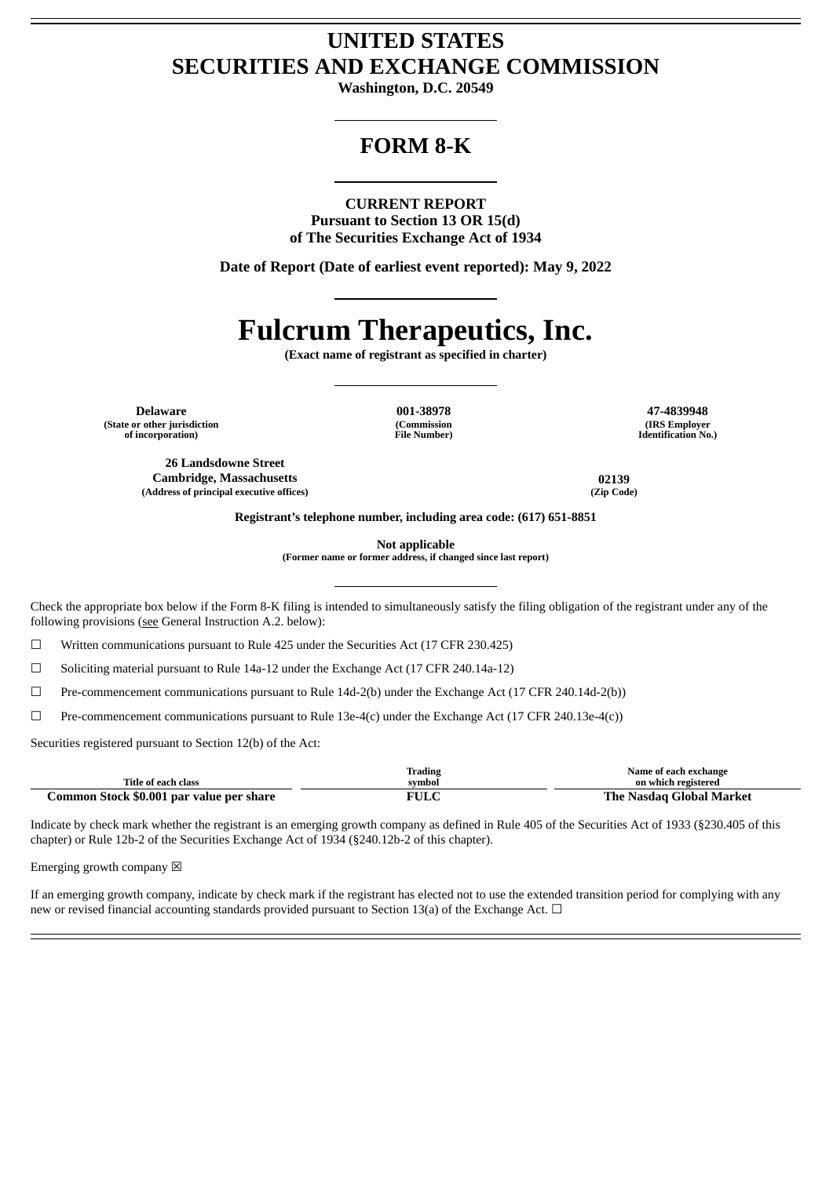# **UNITED STATES SECURITIES AND EXCHANGE COMMISSION**

**Washington, D.C. 20549**

# **FORM 8-K**

#### **CURRENT REPORT**

**Pursuant to Section 13 OR 15(d) of The Securities Exchange Act of 1934**

**Date of Report (Date of earliest event reported): May 9, 2022**

# **Fulcrum Therapeutics, Inc.**

**(Exact name of registrant as specified in charter)**

**Delaware 001-38978 47-4839948 (State or other jurisdiction of incorporation)**

**(Commission File Number)**

**(IRS Employer Identification No.)**

**26 Landsdowne Street Cambridge, Massachusetts 02139 (Address of principal executive offices) (Zip Code)**

**Registrant's telephone number, including area code: (617) 651-8851**

**Not applicable**

**(Former name or former address, if changed since last report)**

Check the appropriate box below if the Form 8-K filing is intended to simultaneously satisfy the filing obligation of the registrant under any of the following provisions (see General Instruction A.2. below):

☐ Written communications pursuant to Rule 425 under the Securities Act (17 CFR 230.425)

☐ Soliciting material pursuant to Rule 14a-12 under the Exchange Act (17 CFR 240.14a-12)

☐ Pre-commencement communications pursuant to Rule 14d-2(b) under the Exchange Act (17 CFR 240.14d-2(b))

 $\Box$  Pre-commencement communications pursuant to Rule 13e-4(c) under the Exchange Act (17 CFR 240.13e-4(c))

Securities registered pursuant to Section 12(b) of the Act:

|                                          | <b>Trading</b>      | Name of each exchange           |
|------------------------------------------|---------------------|---------------------------------|
| Title of each class                      | symbol              | on which registered             |
| Common Stock \$0.001 par value per share | $\overline{ }$ vulc | : Nasdaɑ Global Market<br>The . |

Indicate by check mark whether the registrant is an emerging growth company as defined in Rule 405 of the Securities Act of 1933 (§230.405 of this chapter) or Rule 12b-2 of the Securities Exchange Act of 1934 (§240.12b-2 of this chapter).

Emerging growth company  $\boxtimes$ 

If an emerging growth company, indicate by check mark if the registrant has elected not to use the extended transition period for complying with any new or revised financial accounting standards provided pursuant to Section 13(a) of the Exchange Act.  $\Box$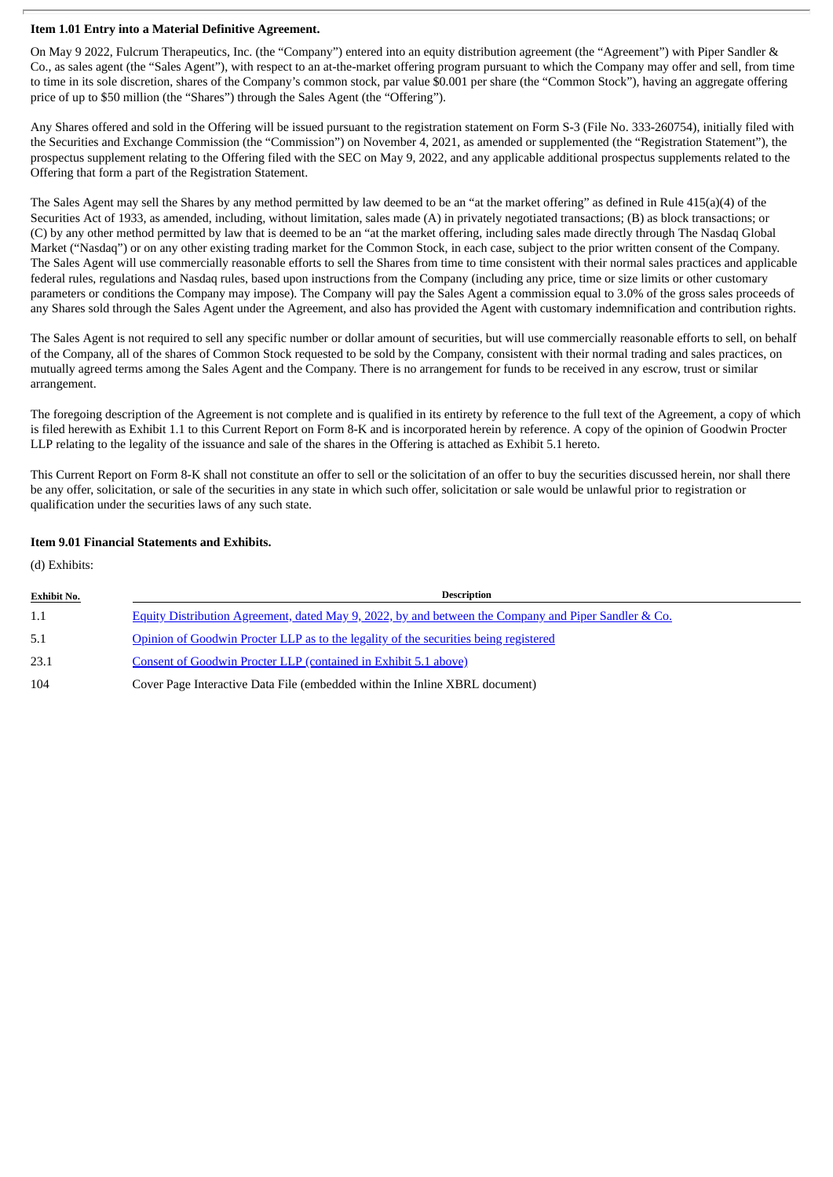#### **Item 1.01 Entry into a Material Definitive Agreement.**

On May 9 2022, Fulcrum Therapeutics, Inc. (the "Company") entered into an equity distribution agreement (the "Agreement") with Piper Sandler & Co., as sales agent (the "Sales Agent"), with respect to an at-the-market offering program pursuant to which the Company may offer and sell, from time to time in its sole discretion, shares of the Company's common stock, par value \$0.001 per share (the "Common Stock"), having an aggregate offering price of up to \$50 million (the "Shares") through the Sales Agent (the "Offering").

Any Shares offered and sold in the Offering will be issued pursuant to the registration statement on Form S-3 (File No. 333-260754), initially filed with the Securities and Exchange Commission (the "Commission") on November 4, 2021, as amended or supplemented (the "Registration Statement"), the prospectus supplement relating to the Offering filed with the SEC on May 9, 2022, and any applicable additional prospectus supplements related to the Offering that form a part of the Registration Statement.

The Sales Agent may sell the Shares by any method permitted by law deemed to be an "at the market offering" as defined in Rule 415(a)(4) of the Securities Act of 1933, as amended, including, without limitation, sales made (A) in privately negotiated transactions; (B) as block transactions; or (C) by any other method permitted by law that is deemed to be an "at the market offering, including sales made directly through The Nasdaq Global Market ("Nasdaq") or on any other existing trading market for the Common Stock, in each case, subject to the prior written consent of the Company. The Sales Agent will use commercially reasonable efforts to sell the Shares from time to time consistent with their normal sales practices and applicable federal rules, regulations and Nasdaq rules, based upon instructions from the Company (including any price, time or size limits or other customary parameters or conditions the Company may impose). The Company will pay the Sales Agent a commission equal to 3.0% of the gross sales proceeds of any Shares sold through the Sales Agent under the Agreement, and also has provided the Agent with customary indemnification and contribution rights.

The Sales Agent is not required to sell any specific number or dollar amount of securities, but will use commercially reasonable efforts to sell, on behalf of the Company, all of the shares of Common Stock requested to be sold by the Company, consistent with their normal trading and sales practices, on mutually agreed terms among the Sales Agent and the Company. There is no arrangement for funds to be received in any escrow, trust or similar arrangement.

The foregoing description of the Agreement is not complete and is qualified in its entirety by reference to the full text of the Agreement, a copy of which is filed herewith as Exhibit 1.1 to this Current Report on Form 8-K and is incorporated herein by reference. A copy of the opinion of Goodwin Procter LLP relating to the legality of the issuance and sale of the shares in the Offering is attached as Exhibit 5.1 hereto.

This Current Report on Form 8-K shall not constitute an offer to sell or the solicitation of an offer to buy the securities discussed herein, nor shall there be any offer, solicitation, or sale of the securities in any state in which such offer, solicitation or sale would be unlawful prior to registration or qualification under the securities laws of any such state.

#### **Item 9.01 Financial Statements and Exhibits.**

(d) Exhibits:

| <b>Exhibit No.</b> | <b>Description</b>                                                                                   |
|--------------------|------------------------------------------------------------------------------------------------------|
| 1.1                | Equity Distribution Agreement, dated May 9, 2022, by and between the Company and Piper Sandler & Co. |
| 5.1                | Opinion of Goodwin Procter LLP as to the legality of the securities being registered                 |
| 23.1               | Consent of Goodwin Procter LLP (contained in Exhibit 5.1 above)                                      |
| 104                | Cover Page Interactive Data File (embedded within the Inline XBRL document)                          |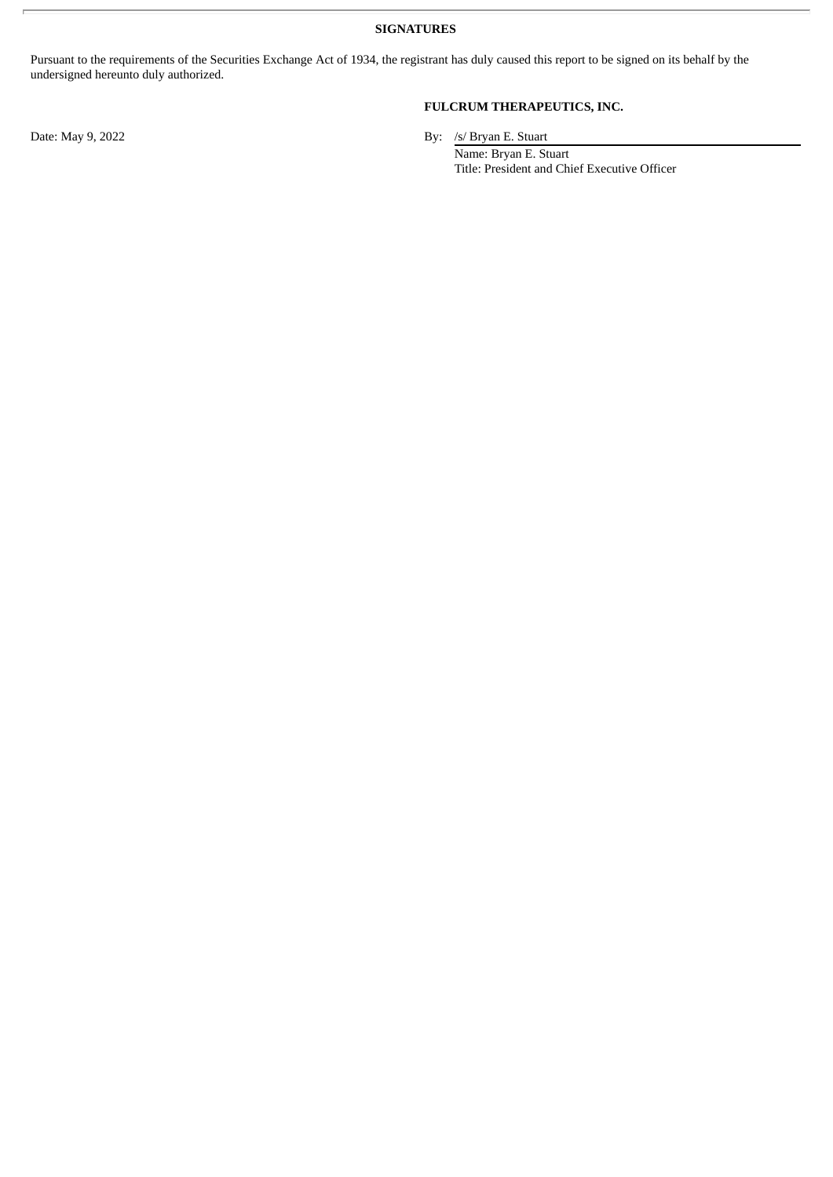**SIGNATURES**

Pursuant to the requirements of the Securities Exchange Act of 1934, the registrant has duly caused this report to be signed on its behalf by the undersigned hereunto duly authorized.

# **FULCRUM THERAPEUTICS, INC.**

Date: May 9, 2022 By: /s/ Bryan E. Stuart

Name: Bryan E. Stuart Title: President and Chief Executive Officer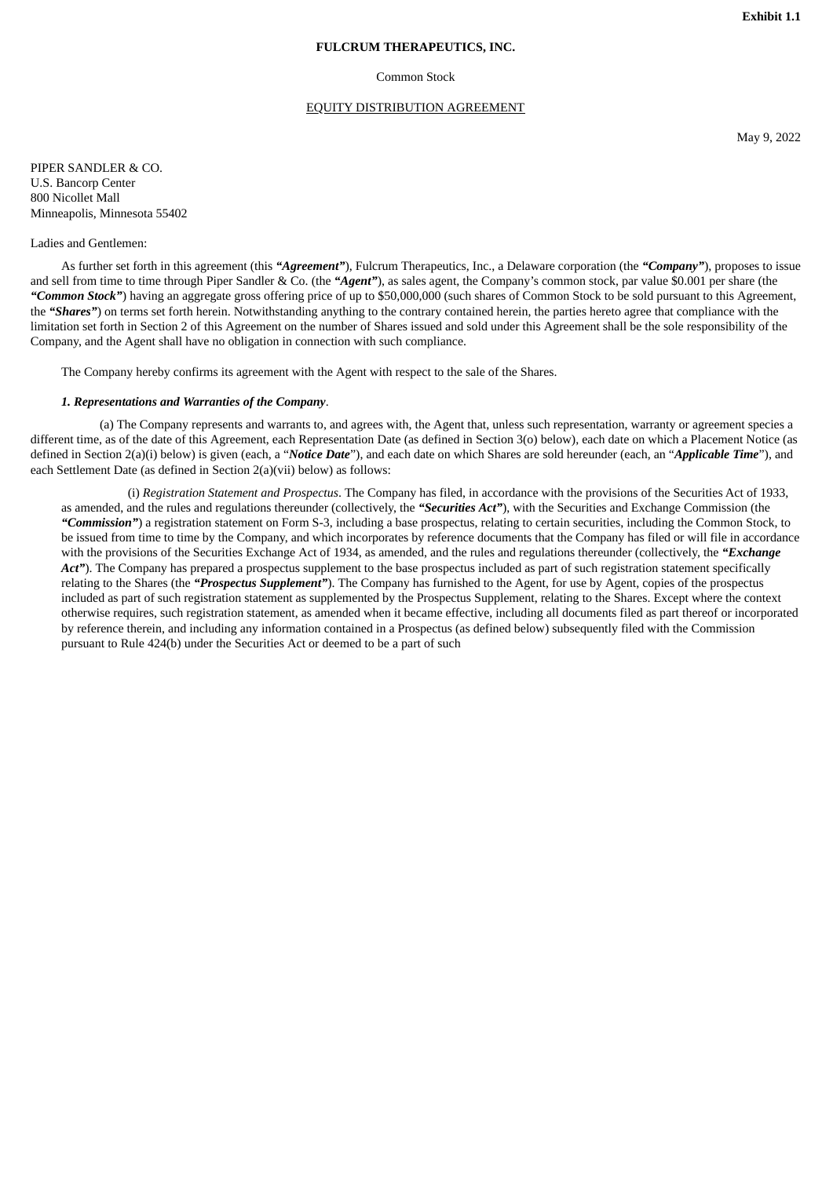#### **FULCRUM THERAPEUTICS, INC.**

#### Common Stock

#### EQUITY DISTRIBUTION AGREEMENT

May 9, 2022

<span id="page-3-0"></span>PIPER SANDLER & CO. U.S. Bancorp Center 800 Nicollet Mall Minneapolis, Minnesota 55402

#### Ladies and Gentlemen:

As further set forth in this agreement (this *"Agreement"*), Fulcrum Therapeutics, Inc., a Delaware corporation (the *"Company"*), proposes to issue and sell from time to time through Piper Sandler & Co. (the *"Agent"*), as sales agent, the Company's common stock, par value \$0.001 per share (the *"Common Stock"*) having an aggregate gross offering price of up to \$50,000,000 (such shares of Common Stock to be sold pursuant to this Agreement, the "Shares") on terms set forth herein. Notwithstanding anything to the contrary contained herein, the parties hereto agree that compliance with the limitation set forth in Section 2 of this Agreement on the number of Shares issued and sold under this Agreement shall be the sole responsibility of the Company, and the Agent shall have no obligation in connection with such compliance.

The Company hereby confirms its agreement with the Agent with respect to the sale of the Shares.

#### *1. Representations and Warranties of the Company*.

(a) The Company represents and warrants to, and agrees with, the Agent that, unless such representation, warranty or agreement species a different time, as of the date of this Agreement, each Representation Date (as defined in Section 3(o) below), each date on which a Placement Notice (as defined in Section 2(a)(i) below) is given (each, a "*Notice Date*"), and each date on which Shares are sold hereunder (each, an "*Applicable Time*"), and each Settlement Date (as defined in Section 2(a)(vii) below) as follows:

(i) *Registration Statement and Prospectus*. The Company has filed, in accordance with the provisions of the Securities Act of 1933, as amended, and the rules and regulations thereunder (collectively, the *"Securities Act"*), with the Securities and Exchange Commission (the *"Commission"*) a registration statement on Form S-3, including a base prospectus, relating to certain securities, including the Common Stock, to be issued from time to time by the Company, and which incorporates by reference documents that the Company has filed or will file in accordance with the provisions of the Securities Exchange Act of 1934, as amended, and the rules and regulations thereunder (collectively, the *"Exchange* Act"). The Company has prepared a prospectus supplement to the base prospectus included as part of such registration statement specifically relating to the Shares (the *"Prospectus Supplement"*). The Company has furnished to the Agent, for use by Agent, copies of the prospectus included as part of such registration statement as supplemented by the Prospectus Supplement, relating to the Shares. Except where the context otherwise requires, such registration statement, as amended when it became effective, including all documents filed as part thereof or incorporated by reference therein, and including any information contained in a Prospectus (as defined below) subsequently filed with the Commission pursuant to Rule 424(b) under the Securities Act or deemed to be a part of such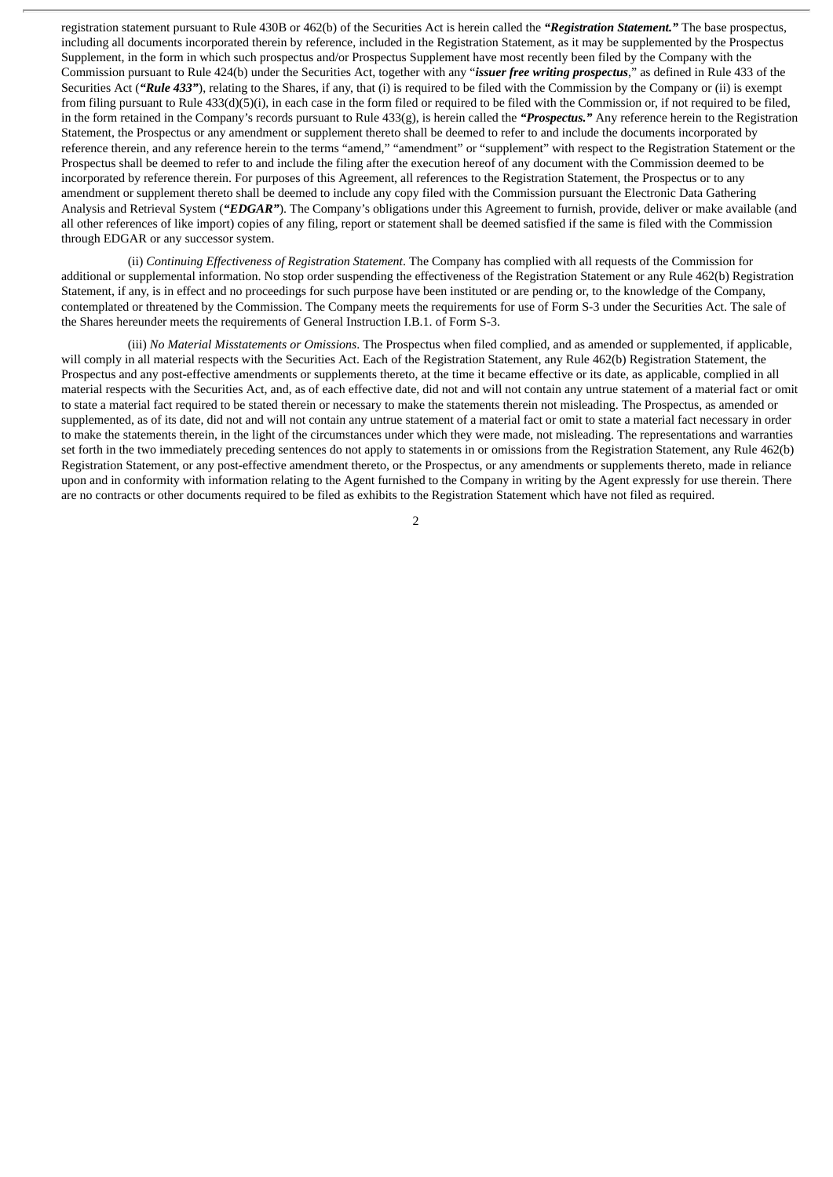registration statement pursuant to Rule 430B or 462(b) of the Securities Act is herein called the *"Registration Statement."* The base prospectus, including all documents incorporated therein by reference, included in the Registration Statement, as it may be supplemented by the Prospectus Supplement, in the form in which such prospectus and/or Prospectus Supplement have most recently been filed by the Company with the Commission pursuant to Rule 424(b) under the Securities Act, together with any "*issuer free writing prospectus*," as defined in Rule 433 of the Securities Act ("Rule 433"), relating to the Shares, if any, that (i) is required to be filed with the Commission by the Company or (ii) is exempt from filing pursuant to Rule 433(d)(5)(i), in each case in the form filed or required to be filed with the Commission or, if not required to be filed, in the form retained in the Company's records pursuant to Rule 433(g), is herein called the *"Prospectus."* Any reference herein to the Registration Statement, the Prospectus or any amendment or supplement thereto shall be deemed to refer to and include the documents incorporated by reference therein, and any reference herein to the terms "amend," "amendment" or "supplement" with respect to the Registration Statement or the Prospectus shall be deemed to refer to and include the filing after the execution hereof of any document with the Commission deemed to be incorporated by reference therein. For purposes of this Agreement, all references to the Registration Statement, the Prospectus or to any amendment or supplement thereto shall be deemed to include any copy filed with the Commission pursuant the Electronic Data Gathering Analysis and Retrieval System (*"EDGAR"*). The Company's obligations under this Agreement to furnish, provide, deliver or make available (and all other references of like import) copies of any filing, report or statement shall be deemed satisfied if the same is filed with the Commission through EDGAR or any successor system.

(ii) *Continuing Effectiveness of Registration Statement*. The Company has complied with all requests of the Commission for additional or supplemental information. No stop order suspending the effectiveness of the Registration Statement or any Rule 462(b) Registration Statement, if any, is in effect and no proceedings for such purpose have been instituted or are pending or, to the knowledge of the Company, contemplated or threatened by the Commission. The Company meets the requirements for use of Form S-3 under the Securities Act. The sale of the Shares hereunder meets the requirements of General Instruction I.B.1. of Form S-3.

(iii) *No Material Misstatements or Omissions*. The Prospectus when filed complied, and as amended or supplemented, if applicable, will comply in all material respects with the Securities Act. Each of the Registration Statement, any Rule 462(b) Registration Statement, the Prospectus and any post-effective amendments or supplements thereto, at the time it became effective or its date, as applicable, complied in all material respects with the Securities Act, and, as of each effective date, did not and will not contain any untrue statement of a material fact or omit to state a material fact required to be stated therein or necessary to make the statements therein not misleading. The Prospectus, as amended or supplemented, as of its date, did not and will not contain any untrue statement of a material fact or omit to state a material fact necessary in order to make the statements therein, in the light of the circumstances under which they were made, not misleading. The representations and warranties set forth in the two immediately preceding sentences do not apply to statements in or omissions from the Registration Statement, any Rule 462(b) Registration Statement, or any post-effective amendment thereto, or the Prospectus, or any amendments or supplements thereto, made in reliance upon and in conformity with information relating to the Agent furnished to the Company in writing by the Agent expressly for use therein. There are no contracts or other documents required to be filed as exhibits to the Registration Statement which have not filed as required.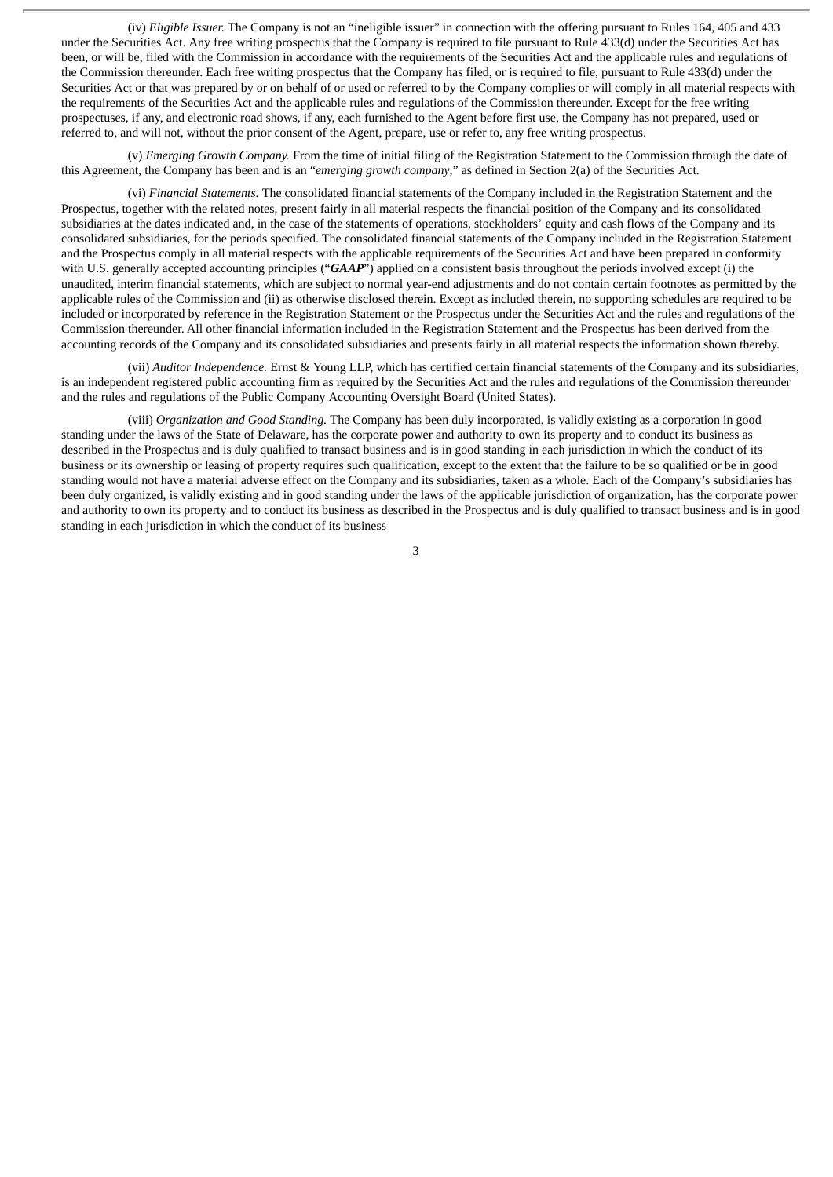(iv) *Eligible Issuer.* The Company is not an "ineligible issuer" in connection with the offering pursuant to Rules 164, 405 and 433 under the Securities Act. Any free writing prospectus that the Company is required to file pursuant to Rule 433(d) under the Securities Act has been, or will be, filed with the Commission in accordance with the requirements of the Securities Act and the applicable rules and regulations of the Commission thereunder. Each free writing prospectus that the Company has filed, or is required to file, pursuant to Rule 433(d) under the Securities Act or that was prepared by or on behalf of or used or referred to by the Company complies or will comply in all material respects with the requirements of the Securities Act and the applicable rules and regulations of the Commission thereunder. Except for the free writing prospectuses, if any, and electronic road shows, if any, each furnished to the Agent before first use, the Company has not prepared, used or referred to, and will not, without the prior consent of the Agent, prepare, use or refer to, any free writing prospectus.

(v) *Emerging Growth Company.* From the time of initial filing of the Registration Statement to the Commission through the date of this Agreement, the Company has been and is an "*emerging growth company*," as defined in Section 2(a) of the Securities Act.

(vi) *Financial Statements.* The consolidated financial statements of the Company included in the Registration Statement and the Prospectus, together with the related notes, present fairly in all material respects the financial position of the Company and its consolidated subsidiaries at the dates indicated and, in the case of the statements of operations, stockholders' equity and cash flows of the Company and its consolidated subsidiaries, for the periods specified. The consolidated financial statements of the Company included in the Registration Statement and the Prospectus comply in all material respects with the applicable requirements of the Securities Act and have been prepared in conformity with U.S. generally accepted accounting principles ("*GAAP*") applied on a consistent basis throughout the periods involved except (i) the unaudited, interim financial statements, which are subject to normal year-end adjustments and do not contain certain footnotes as permitted by the applicable rules of the Commission and (ii) as otherwise disclosed therein. Except as included therein, no supporting schedules are required to be included or incorporated by reference in the Registration Statement or the Prospectus under the Securities Act and the rules and regulations of the Commission thereunder. All other financial information included in the Registration Statement and the Prospectus has been derived from the accounting records of the Company and its consolidated subsidiaries and presents fairly in all material respects the information shown thereby.

(vii) *Auditor Independence.* Ernst & Young LLP, which has certified certain financial statements of the Company and its subsidiaries, is an independent registered public accounting firm as required by the Securities Act and the rules and regulations of the Commission thereunder and the rules and regulations of the Public Company Accounting Oversight Board (United States).

(viii) *Organization and Good Standing.* The Company has been duly incorporated, is validly existing as a corporation in good standing under the laws of the State of Delaware, has the corporate power and authority to own its property and to conduct its business as described in the Prospectus and is duly qualified to transact business and is in good standing in each jurisdiction in which the conduct of its business or its ownership or leasing of property requires such qualification, except to the extent that the failure to be so qualified or be in good standing would not have a material adverse effect on the Company and its subsidiaries, taken as a whole. Each of the Company's subsidiaries has been duly organized, is validly existing and in good standing under the laws of the applicable jurisdiction of organization, has the corporate power and authority to own its property and to conduct its business as described in the Prospectus and is duly qualified to transact business and is in good standing in each jurisdiction in which the conduct of its business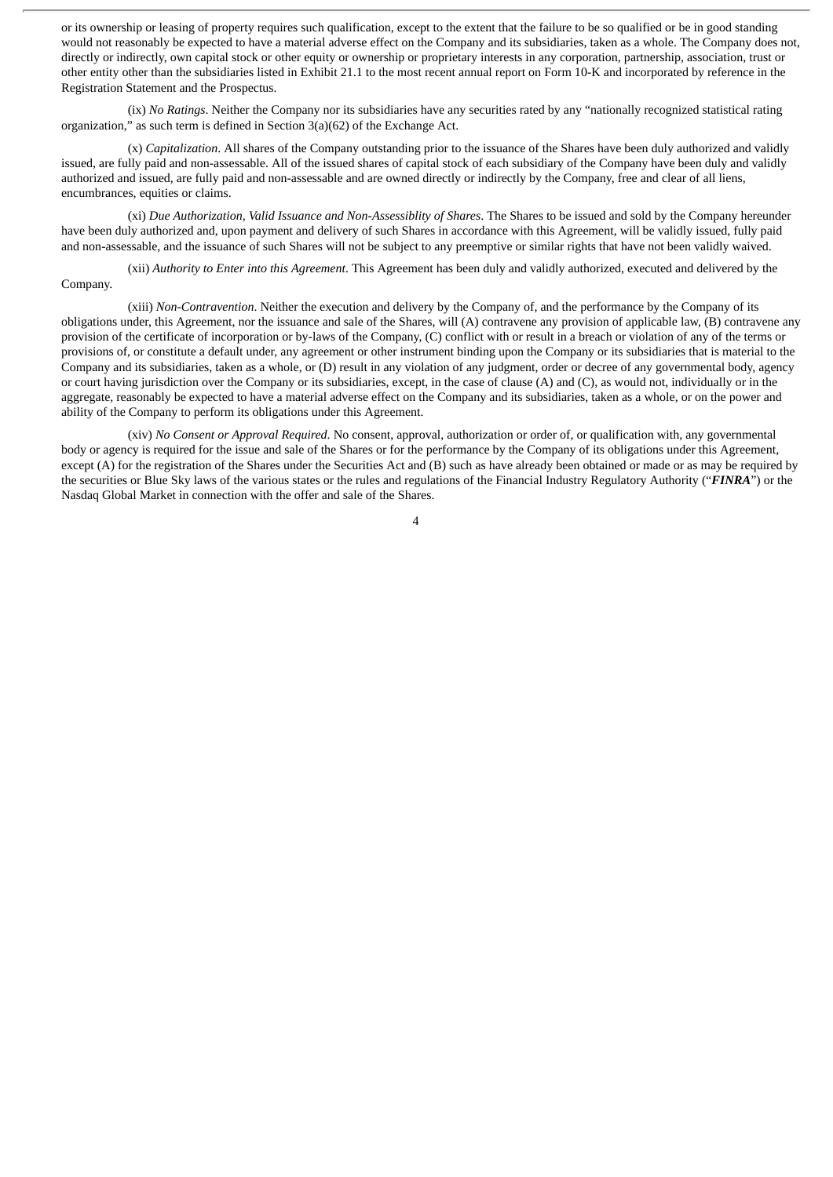or its ownership or leasing of property requires such qualification, except to the extent that the failure to be so qualified or be in good standing would not reasonably be expected to have a material adverse effect on the Company and its subsidiaries, taken as a whole. The Company does not, directly or indirectly, own capital stock or other equity or ownership or proprietary interests in any corporation, partnership, association, trust or other entity other than the subsidiaries listed in Exhibit 21.1 to the most recent annual report on Form 10-K and incorporated by reference in the Registration Statement and the Prospectus.

(ix) *No Ratings*. Neither the Company nor its subsidiaries have any securities rated by any "nationally recognized statistical rating organization," as such term is defined in Section 3(a)(62) of the Exchange Act.

(x) *Capitalization*. All shares of the Company outstanding prior to the issuance of the Shares have been duly authorized and validly issued, are fully paid and non-assessable. All of the issued shares of capital stock of each subsidiary of the Company have been duly and validly authorized and issued, are fully paid and non-assessable and are owned directly or indirectly by the Company, free and clear of all liens, encumbrances, equities or claims.

(xi) *Due Authorization, Valid Issuance and Non-Assessiblity of Shares*. The Shares to be issued and sold by the Company hereunder have been duly authorized and, upon payment and delivery of such Shares in accordance with this Agreement, will be validly issued, fully paid and non-assessable, and the issuance of such Shares will not be subject to any preemptive or similar rights that have not been validly waived.

(xii) *Authority to Enter into this Agreement*. This Agreement has been duly and validly authorized, executed and delivered by the Company.

(xiii) *Non-Contravention*. Neither the execution and delivery by the Company of, and the performance by the Company of its obligations under, this Agreement, nor the issuance and sale of the Shares, will (A) contravene any provision of applicable law, (B) contravene any provision of the certificate of incorporation or by-laws of the Company, (C) conflict with or result in a breach or violation of any of the terms or provisions of, or constitute a default under, any agreement or other instrument binding upon the Company or its subsidiaries that is material to the Company and its subsidiaries, taken as a whole, or (D) result in any violation of any judgment, order or decree of any governmental body, agency or court having jurisdiction over the Company or its subsidiaries, except, in the case of clause (A) and (C), as would not, individually or in the aggregate, reasonably be expected to have a material adverse effect on the Company and its subsidiaries, taken as a whole, or on the power and ability of the Company to perform its obligations under this Agreement.

(xiv) *No Consent or Approval Required*. No consent, approval, authorization or order of, or qualification with, any governmental body or agency is required for the issue and sale of the Shares or for the performance by the Company of its obligations under this Agreement, except (A) for the registration of the Shares under the Securities Act and (B) such as have already been obtained or made or as may be required by the securities or Blue Sky laws of the various states or the rules and regulations of the Financial Industry Regulatory Authority ("*FINRA*") or the Nasdaq Global Market in connection with the offer and sale of the Shares.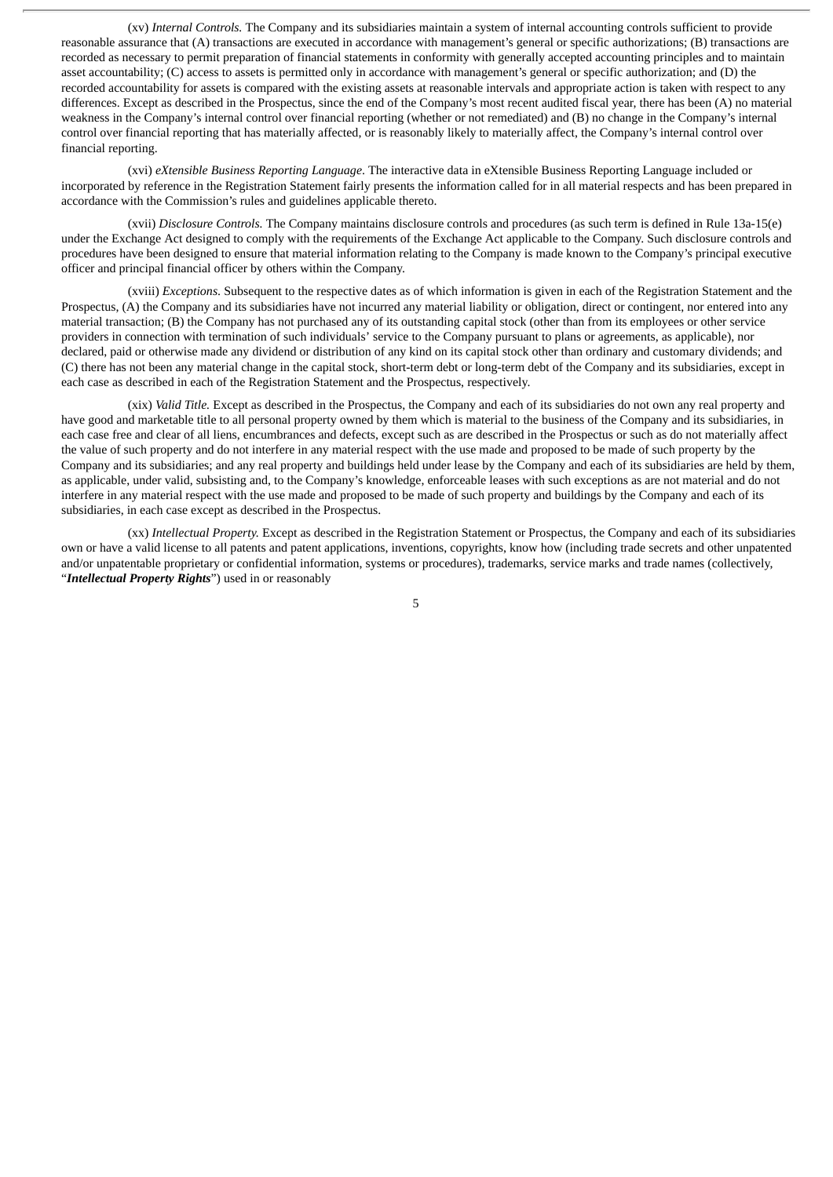(xv) *Internal Controls.* The Company and its subsidiaries maintain a system of internal accounting controls sufficient to provide reasonable assurance that (A) transactions are executed in accordance with management's general or specific authorizations; (B) transactions are recorded as necessary to permit preparation of financial statements in conformity with generally accepted accounting principles and to maintain asset accountability; (C) access to assets is permitted only in accordance with management's general or specific authorization; and (D) the recorded accountability for assets is compared with the existing assets at reasonable intervals and appropriate action is taken with respect to any differences. Except as described in the Prospectus, since the end of the Company's most recent audited fiscal year, there has been (A) no material weakness in the Company's internal control over financial reporting (whether or not remediated) and (B) no change in the Company's internal control over financial reporting that has materially affected, or is reasonably likely to materially affect, the Company's internal control over financial reporting.

(xvi) *eXtensible Business Reporting Language*. The interactive data in eXtensible Business Reporting Language included or incorporated by reference in the Registration Statement fairly presents the information called for in all material respects and has been prepared in accordance with the Commission's rules and guidelines applicable thereto.

(xvii) *Disclosure Controls.* The Company maintains disclosure controls and procedures (as such term is defined in Rule 13a-15(e) under the Exchange Act designed to comply with the requirements of the Exchange Act applicable to the Company. Such disclosure controls and procedures have been designed to ensure that material information relating to the Company is made known to the Company's principal executive officer and principal financial officer by others within the Company.

(xviii) *Exceptions*. Subsequent to the respective dates as of which information is given in each of the Registration Statement and the Prospectus, (A) the Company and its subsidiaries have not incurred any material liability or obligation, direct or contingent, nor entered into any material transaction; (B) the Company has not purchased any of its outstanding capital stock (other than from its employees or other service providers in connection with termination of such individuals' service to the Company pursuant to plans or agreements, as applicable), nor declared, paid or otherwise made any dividend or distribution of any kind on its capital stock other than ordinary and customary dividends; and (C) there has not been any material change in the capital stock, short-term debt or long-term debt of the Company and its subsidiaries, except in each case as described in each of the Registration Statement and the Prospectus, respectively.

(xix) *Valid Title.* Except as described in the Prospectus, the Company and each of its subsidiaries do not own any real property and have good and marketable title to all personal property owned by them which is material to the business of the Company and its subsidiaries, in each case free and clear of all liens, encumbrances and defects, except such as are described in the Prospectus or such as do not materially affect the value of such property and do not interfere in any material respect with the use made and proposed to be made of such property by the Company and its subsidiaries; and any real property and buildings held under lease by the Company and each of its subsidiaries are held by them, as applicable, under valid, subsisting and, to the Company's knowledge, enforceable leases with such exceptions as are not material and do not interfere in any material respect with the use made and proposed to be made of such property and buildings by the Company and each of its subsidiaries, in each case except as described in the Prospectus.

(xx) *Intellectual Property.* Except as described in the Registration Statement or Prospectus, the Company and each of its subsidiaries own or have a valid license to all patents and patent applications, inventions, copyrights, know how (including trade secrets and other unpatented and/or unpatentable proprietary or confidential information, systems or procedures), trademarks, service marks and trade names (collectively, "*Intellectual Property Rights*") used in or reasonably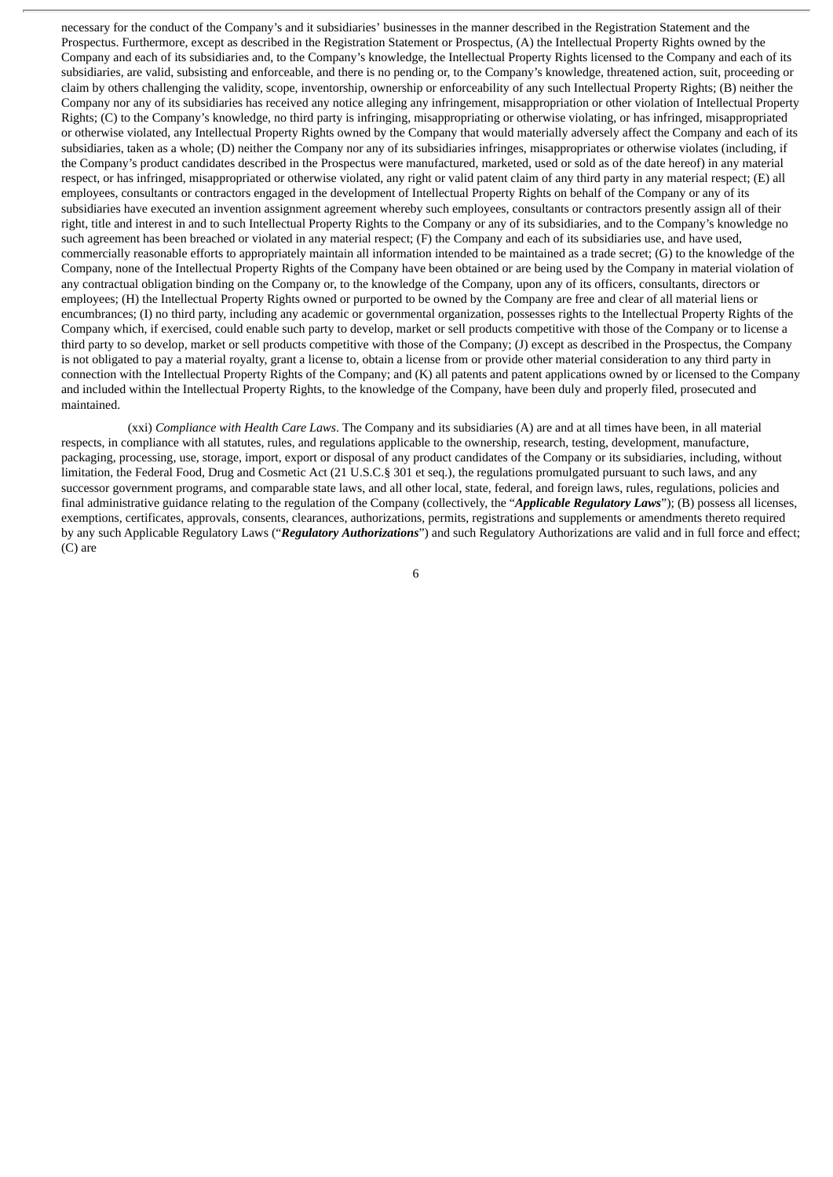necessary for the conduct of the Company's and it subsidiaries' businesses in the manner described in the Registration Statement and the Prospectus. Furthermore, except as described in the Registration Statement or Prospectus, (A) the Intellectual Property Rights owned by the Company and each of its subsidiaries and, to the Company's knowledge, the Intellectual Property Rights licensed to the Company and each of its subsidiaries, are valid, subsisting and enforceable, and there is no pending or, to the Company's knowledge, threatened action, suit, proceeding or claim by others challenging the validity, scope, inventorship, ownership or enforceability of any such Intellectual Property Rights; (B) neither the Company nor any of its subsidiaries has received any notice alleging any infringement, misappropriation or other violation of Intellectual Property Rights; (C) to the Company's knowledge, no third party is infringing, misappropriating or otherwise violating, or has infringed, misappropriated or otherwise violated, any Intellectual Property Rights owned by the Company that would materially adversely affect the Company and each of its subsidiaries, taken as a whole; (D) neither the Company nor any of its subsidiaries infringes, misappropriates or otherwise violates (including, if the Company's product candidates described in the Prospectus were manufactured, marketed, used or sold as of the date hereof) in any material respect, or has infringed, misappropriated or otherwise violated, any right or valid patent claim of any third party in any material respect; (E) all employees, consultants or contractors engaged in the development of Intellectual Property Rights on behalf of the Company or any of its subsidiaries have executed an invention assignment agreement whereby such employees, consultants or contractors presently assign all of their right, title and interest in and to such Intellectual Property Rights to the Company or any of its subsidiaries, and to the Company's knowledge no such agreement has been breached or violated in any material respect; (F) the Company and each of its subsidiaries use, and have used, commercially reasonable efforts to appropriately maintain all information intended to be maintained as a trade secret; (G) to the knowledge of the Company, none of the Intellectual Property Rights of the Company have been obtained or are being used by the Company in material violation of any contractual obligation binding on the Company or, to the knowledge of the Company, upon any of its officers, consultants, directors or employees; (H) the Intellectual Property Rights owned or purported to be owned by the Company are free and clear of all material liens or encumbrances; (I) no third party, including any academic or governmental organization, possesses rights to the Intellectual Property Rights of the Company which, if exercised, could enable such party to develop, market or sell products competitive with those of the Company or to license a third party to so develop, market or sell products competitive with those of the Company; (J) except as described in the Prospectus, the Company is not obligated to pay a material royalty, grant a license to, obtain a license from or provide other material consideration to any third party in connection with the Intellectual Property Rights of the Company; and (K) all patents and patent applications owned by or licensed to the Company and included within the Intellectual Property Rights, to the knowledge of the Company, have been duly and properly filed, prosecuted and maintained.

(xxi) *Compliance with Health Care Laws*. The Company and its subsidiaries (A) are and at all times have been, in all material respects, in compliance with all statutes, rules, and regulations applicable to the ownership, research, testing, development, manufacture, packaging, processing, use, storage, import, export or disposal of any product candidates of the Company or its subsidiaries, including, without limitation, the Federal Food, Drug and Cosmetic Act (21 U.S.C.§ 301 et seq.), the regulations promulgated pursuant to such laws, and any successor government programs, and comparable state laws, and all other local, state, federal, and foreign laws, rules, regulations, policies and final administrative guidance relating to the regulation of the Company (collectively, the "*Applicable Regulatory Laws*"); (B) possess all licenses, exemptions, certificates, approvals, consents, clearances, authorizations, permits, registrations and supplements or amendments thereto required by any such Applicable Regulatory Laws ("*Regulatory Authorizations*") and such Regulatory Authorizations are valid and in full force and effect; (C) are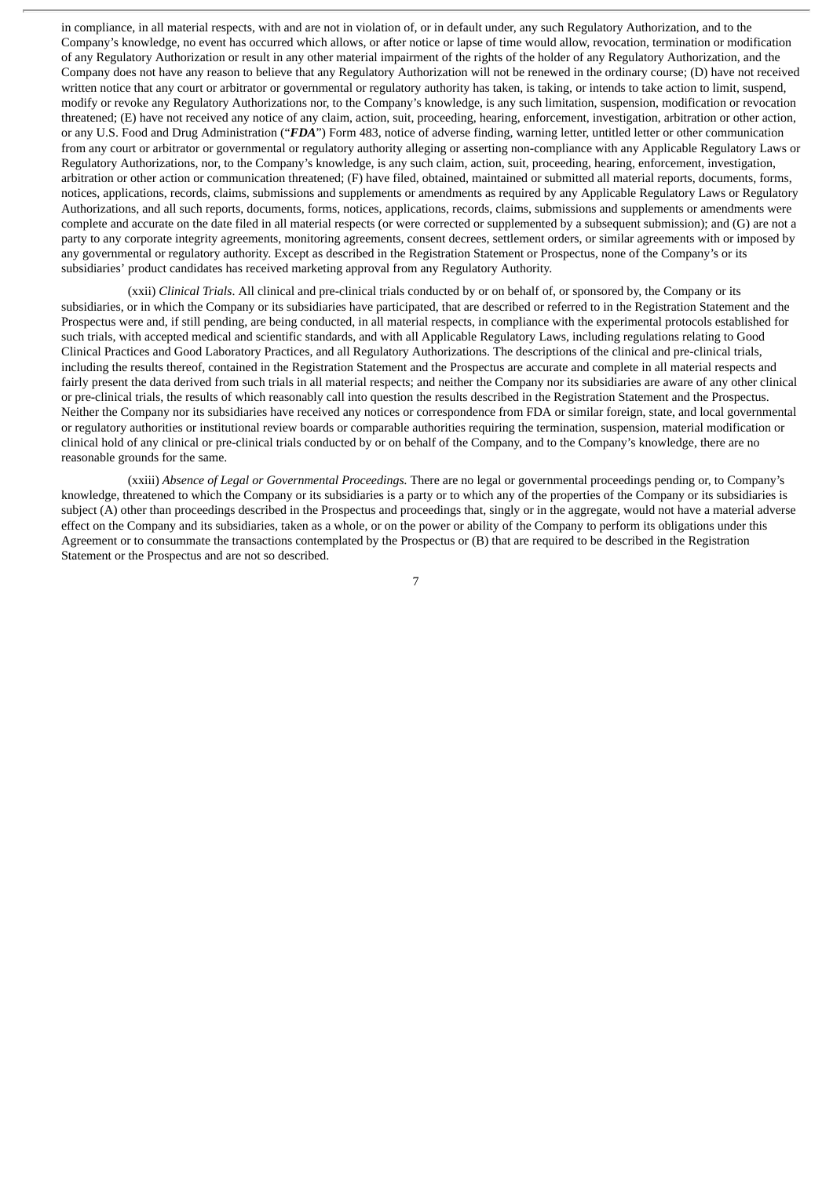in compliance, in all material respects, with and are not in violation of, or in default under, any such Regulatory Authorization, and to the Company's knowledge, no event has occurred which allows, or after notice or lapse of time would allow, revocation, termination or modification of any Regulatory Authorization or result in any other material impairment of the rights of the holder of any Regulatory Authorization, and the Company does not have any reason to believe that any Regulatory Authorization will not be renewed in the ordinary course; (D) have not received written notice that any court or arbitrator or governmental or regulatory authority has taken, is taking, or intends to take action to limit, suspend, modify or revoke any Regulatory Authorizations nor, to the Company's knowledge, is any such limitation, suspension, modification or revocation threatened; (E) have not received any notice of any claim, action, suit, proceeding, hearing, enforcement, investigation, arbitration or other action, or any U.S. Food and Drug Administration ("*FDA*") Form 483, notice of adverse finding, warning letter, untitled letter or other communication from any court or arbitrator or governmental or regulatory authority alleging or asserting non-compliance with any Applicable Regulatory Laws or Regulatory Authorizations, nor, to the Company's knowledge, is any such claim, action, suit, proceeding, hearing, enforcement, investigation, arbitration or other action or communication threatened; (F) have filed, obtained, maintained or submitted all material reports, documents, forms, notices, applications, records, claims, submissions and supplements or amendments as required by any Applicable Regulatory Laws or Regulatory Authorizations, and all such reports, documents, forms, notices, applications, records, claims, submissions and supplements or amendments were complete and accurate on the date filed in all material respects (or were corrected or supplemented by a subsequent submission); and (G) are not a party to any corporate integrity agreements, monitoring agreements, consent decrees, settlement orders, or similar agreements with or imposed by any governmental or regulatory authority. Except as described in the Registration Statement or Prospectus, none of the Company's or its subsidiaries' product candidates has received marketing approval from any Regulatory Authority.

(xxii) *Clinical Trials*. All clinical and pre-clinical trials conducted by or on behalf of, or sponsored by, the Company or its subsidiaries, or in which the Company or its subsidiaries have participated, that are described or referred to in the Registration Statement and the Prospectus were and, if still pending, are being conducted, in all material respects, in compliance with the experimental protocols established for such trials, with accepted medical and scientific standards, and with all Applicable Regulatory Laws, including regulations relating to Good Clinical Practices and Good Laboratory Practices, and all Regulatory Authorizations. The descriptions of the clinical and pre-clinical trials, including the results thereof, contained in the Registration Statement and the Prospectus are accurate and complete in all material respects and fairly present the data derived from such trials in all material respects; and neither the Company nor its subsidiaries are aware of any other clinical or pre-clinical trials, the results of which reasonably call into question the results described in the Registration Statement and the Prospectus. Neither the Company nor its subsidiaries have received any notices or correspondence from FDA or similar foreign, state, and local governmental or regulatory authorities or institutional review boards or comparable authorities requiring the termination, suspension, material modification or clinical hold of any clinical or pre-clinical trials conducted by or on behalf of the Company, and to the Company's knowledge, there are no reasonable grounds for the same.

(xxiii) *Absence of Legal or Governmental Proceedings.* There are no legal or governmental proceedings pending or, to Company's knowledge, threatened to which the Company or its subsidiaries is a party or to which any of the properties of the Company or its subsidiaries is subject (A) other than proceedings described in the Prospectus and proceedings that, singly or in the aggregate, would not have a material adverse effect on the Company and its subsidiaries, taken as a whole, or on the power or ability of the Company to perform its obligations under this Agreement or to consummate the transactions contemplated by the Prospectus or (B) that are required to be described in the Registration Statement or the Prospectus and are not so described.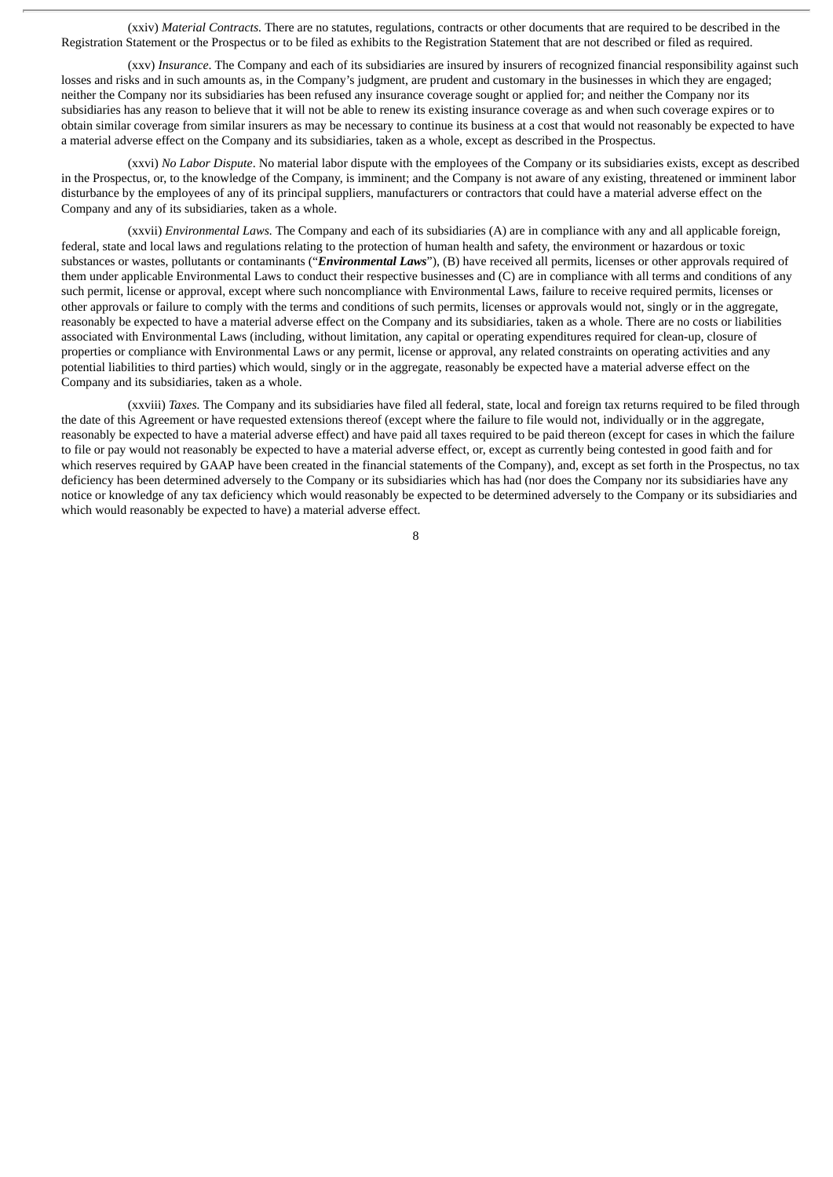(xxiv) *Material Contracts.* There are no statutes, regulations, contracts or other documents that are required to be described in the Registration Statement or the Prospectus or to be filed as exhibits to the Registration Statement that are not described or filed as required.

(xxv) *Insurance*. The Company and each of its subsidiaries are insured by insurers of recognized financial responsibility against such losses and risks and in such amounts as, in the Company's judgment, are prudent and customary in the businesses in which they are engaged; neither the Company nor its subsidiaries has been refused any insurance coverage sought or applied for; and neither the Company nor its subsidiaries has any reason to believe that it will not be able to renew its existing insurance coverage as and when such coverage expires or to obtain similar coverage from similar insurers as may be necessary to continue its business at a cost that would not reasonably be expected to have a material adverse effect on the Company and its subsidiaries, taken as a whole, except as described in the Prospectus.

(xxvi) *No Labor Dispute*. No material labor dispute with the employees of the Company or its subsidiaries exists, except as described in the Prospectus, or, to the knowledge of the Company, is imminent; and the Company is not aware of any existing, threatened or imminent labor disturbance by the employees of any of its principal suppliers, manufacturers or contractors that could have a material adverse effect on the Company and any of its subsidiaries, taken as a whole.

(xxvii) *Environmental Laws.* The Company and each of its subsidiaries (A) are in compliance with any and all applicable foreign, federal, state and local laws and regulations relating to the protection of human health and safety, the environment or hazardous or toxic substances or wastes, pollutants or contaminants ("*Environmental Laws*"), (B) have received all permits, licenses or other approvals required of them under applicable Environmental Laws to conduct their respective businesses and (C) are in compliance with all terms and conditions of any such permit, license or approval, except where such noncompliance with Environmental Laws, failure to receive required permits, licenses or other approvals or failure to comply with the terms and conditions of such permits, licenses or approvals would not, singly or in the aggregate, reasonably be expected to have a material adverse effect on the Company and its subsidiaries, taken as a whole. There are no costs or liabilities associated with Environmental Laws (including, without limitation, any capital or operating expenditures required for clean-up, closure of properties or compliance with Environmental Laws or any permit, license or approval, any related constraints on operating activities and any potential liabilities to third parties) which would, singly or in the aggregate, reasonably be expected have a material adverse effect on the Company and its subsidiaries, taken as a whole.

(xxviii) *Taxes.* The Company and its subsidiaries have filed all federal, state, local and foreign tax returns required to be filed through the date of this Agreement or have requested extensions thereof (except where the failure to file would not, individually or in the aggregate, reasonably be expected to have a material adverse effect) and have paid all taxes required to be paid thereon (except for cases in which the failure to file or pay would not reasonably be expected to have a material adverse effect, or, except as currently being contested in good faith and for which reserves required by GAAP have been created in the financial statements of the Company), and, except as set forth in the Prospectus, no tax deficiency has been determined adversely to the Company or its subsidiaries which has had (nor does the Company nor its subsidiaries have any notice or knowledge of any tax deficiency which would reasonably be expected to be determined adversely to the Company or its subsidiaries and which would reasonably be expected to have) a material adverse effect.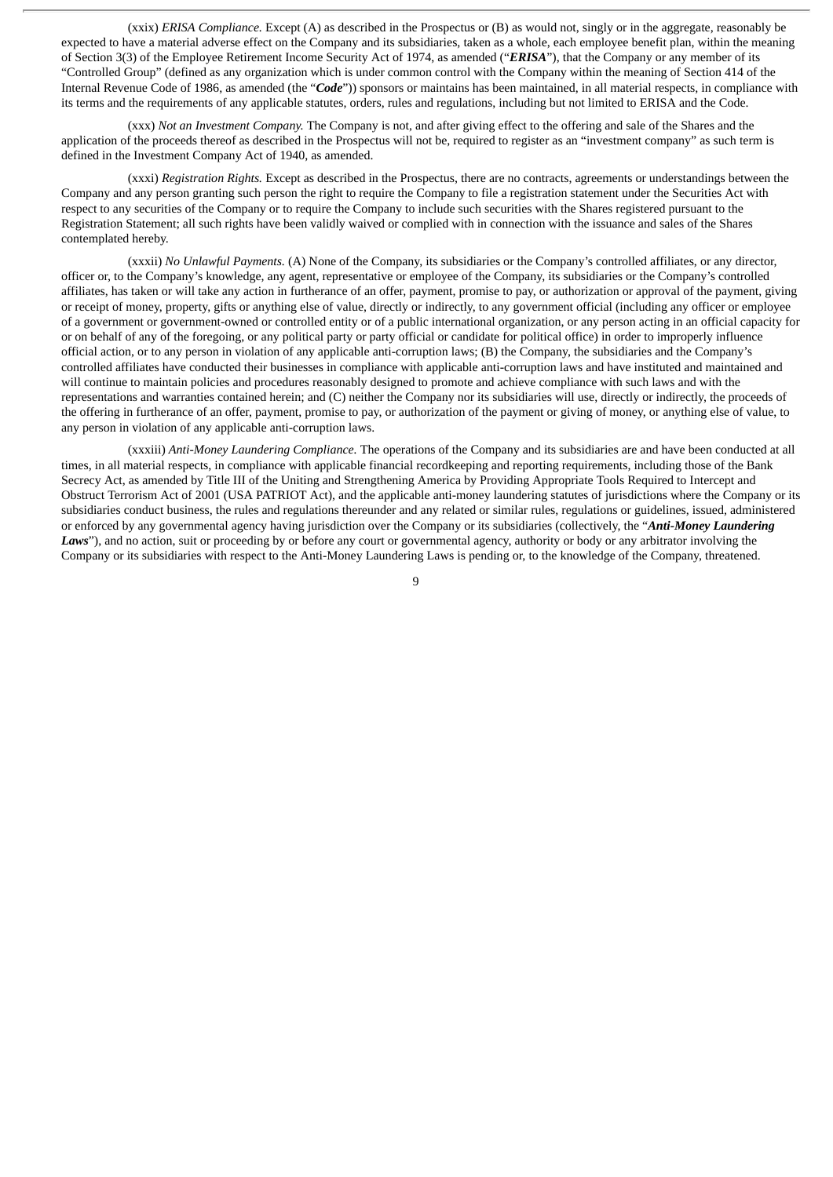(xxix) *ERISA Compliance.* Except (A) as described in the Prospectus or (B) as would not, singly or in the aggregate, reasonably be expected to have a material adverse effect on the Company and its subsidiaries, taken as a whole, each employee benefit plan, within the meaning of Section 3(3) of the Employee Retirement Income Security Act of 1974, as amended ("*ERISA*"), that the Company or any member of its "Controlled Group" (defined as any organization which is under common control with the Company within the meaning of Section 414 of the Internal Revenue Code of 1986, as amended (the "*Code*")) sponsors or maintains has been maintained, in all material respects, in compliance with its terms and the requirements of any applicable statutes, orders, rules and regulations, including but not limited to ERISA and the Code.

(xxx) *Not an Investment Company.* The Company is not, and after giving effect to the offering and sale of the Shares and the application of the proceeds thereof as described in the Prospectus will not be, required to register as an "investment company" as such term is defined in the Investment Company Act of 1940, as amended.

(xxxi) *Registration Rights.* Except as described in the Prospectus, there are no contracts, agreements or understandings between the Company and any person granting such person the right to require the Company to file a registration statement under the Securities Act with respect to any securities of the Company or to require the Company to include such securities with the Shares registered pursuant to the Registration Statement; all such rights have been validly waived or complied with in connection with the issuance and sales of the Shares contemplated hereby.

(xxxii) *No Unlawful Payments.* (A) None of the Company, its subsidiaries or the Company's controlled affiliates, or any director, officer or, to the Company's knowledge, any agent, representative or employee of the Company, its subsidiaries or the Company's controlled affiliates, has taken or will take any action in furtherance of an offer, payment, promise to pay, or authorization or approval of the payment, giving or receipt of money, property, gifts or anything else of value, directly or indirectly, to any government official (including any officer or employee of a government or government-owned or controlled entity or of a public international organization, or any person acting in an official capacity for or on behalf of any of the foregoing, or any political party or party official or candidate for political office) in order to improperly influence official action, or to any person in violation of any applicable anti-corruption laws; (B) the Company, the subsidiaries and the Company's controlled affiliates have conducted their businesses in compliance with applicable anti-corruption laws and have instituted and maintained and will continue to maintain policies and procedures reasonably designed to promote and achieve compliance with such laws and with the representations and warranties contained herein; and (C) neither the Company nor its subsidiaries will use, directly or indirectly, the proceeds of the offering in furtherance of an offer, payment, promise to pay, or authorization of the payment or giving of money, or anything else of value, to any person in violation of any applicable anti-corruption laws.

(xxxiii) *Anti-Money Laundering Compliance.* The operations of the Company and its subsidiaries are and have been conducted at all times, in all material respects, in compliance with applicable financial recordkeeping and reporting requirements, including those of the Bank Secrecy Act, as amended by Title III of the Uniting and Strengthening America by Providing Appropriate Tools Required to Intercept and Obstruct Terrorism Act of 2001 (USA PATRIOT Act), and the applicable anti-money laundering statutes of jurisdictions where the Company or its subsidiaries conduct business, the rules and regulations thereunder and any related or similar rules, regulations or guidelines, issued, administered or enforced by any governmental agency having jurisdiction over the Company or its subsidiaries (collectively, the "*Anti-Money Laundering* Laws"), and no action, suit or proceeding by or before any court or governmental agency, authority or body or any arbitrator involving the Company or its subsidiaries with respect to the Anti-Money Laundering Laws is pending or, to the knowledge of the Company, threatened.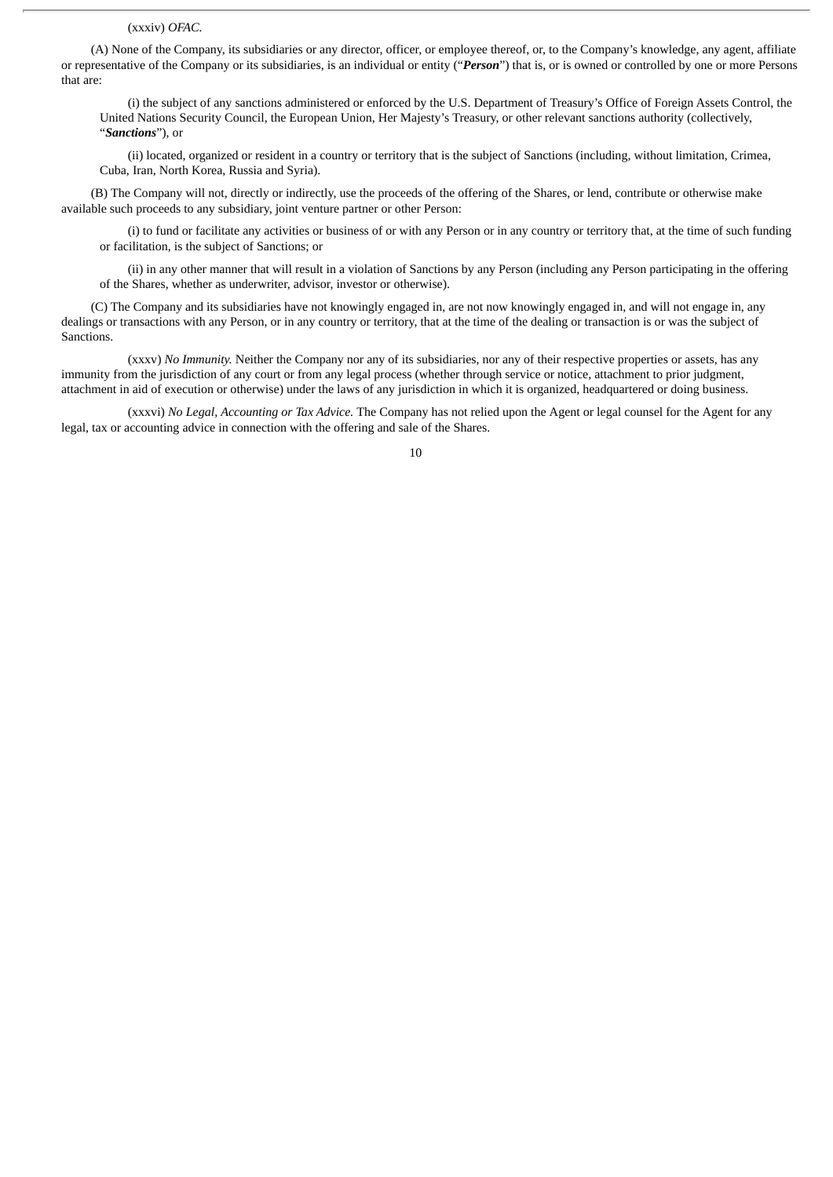#### (xxxiv) *OFAC.*

(A) None of the Company, its subsidiaries or any director, officer, or employee thereof, or, to the Company's knowledge, any agent, affiliate or representative of the Company or its subsidiaries, is an individual or entity ("*Person*") that is, or is owned or controlled by one or more Persons that are:

(i) the subject of any sanctions administered or enforced by the U.S. Department of Treasury's Office of Foreign Assets Control, the United Nations Security Council, the European Union, Her Majesty's Treasury, or other relevant sanctions authority (collectively, "*Sanctions*"), or

(ii) located, organized or resident in a country or territory that is the subject of Sanctions (including, without limitation, Crimea, Cuba, Iran, North Korea, Russia and Syria).

(B) The Company will not, directly or indirectly, use the proceeds of the offering of the Shares, or lend, contribute or otherwise make available such proceeds to any subsidiary, joint venture partner or other Person:

(i) to fund or facilitate any activities or business of or with any Person or in any country or territory that, at the time of such funding or facilitation, is the subject of Sanctions; or

(ii) in any other manner that will result in a violation of Sanctions by any Person (including any Person participating in the offering of the Shares, whether as underwriter, advisor, investor or otherwise).

(C) The Company and its subsidiaries have not knowingly engaged in, are not now knowingly engaged in, and will not engage in, any dealings or transactions with any Person, or in any country or territory, that at the time of the dealing or transaction is or was the subject of Sanctions.

(xxxv) *No Immunity.* Neither the Company nor any of its subsidiaries, nor any of their respective properties or assets, has any immunity from the jurisdiction of any court or from any legal process (whether through service or notice, attachment to prior judgment, attachment in aid of execution or otherwise) under the laws of any jurisdiction in which it is organized, headquartered or doing business.

(xxxvi) *No Legal, Accounting or Tax Advice.* The Company has not relied upon the Agent or legal counsel for the Agent for any legal, tax or accounting advice in connection with the offering and sale of the Shares.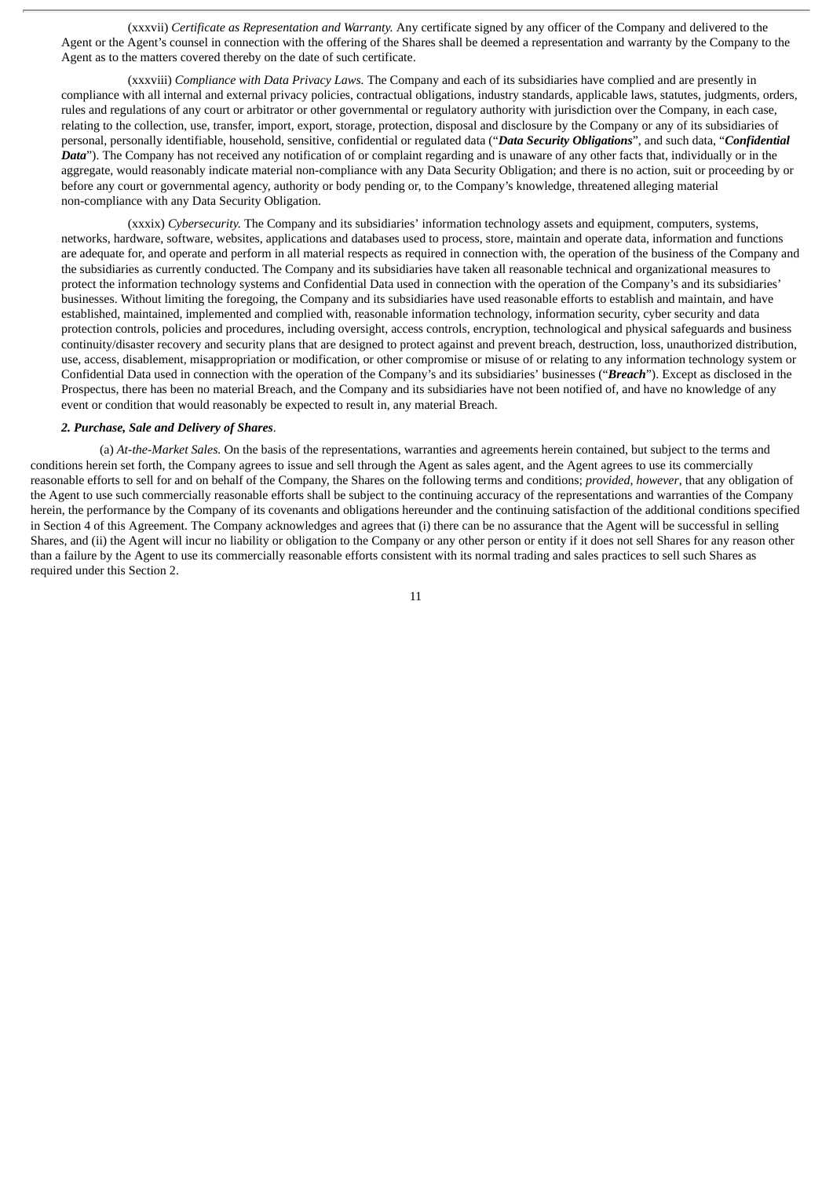(xxxvii) *Certificate as Representation and Warranty.* Any certificate signed by any officer of the Company and delivered to the Agent or the Agent's counsel in connection with the offering of the Shares shall be deemed a representation and warranty by the Company to the Agent as to the matters covered thereby on the date of such certificate.

(xxxviii) *Compliance with Data Privacy Laws.* The Company and each of its subsidiaries have complied and are presently in compliance with all internal and external privacy policies, contractual obligations, industry standards, applicable laws, statutes, judgments, orders, rules and regulations of any court or arbitrator or other governmental or regulatory authority with jurisdiction over the Company, in each case, relating to the collection, use, transfer, import, export, storage, protection, disposal and disclosure by the Company or any of its subsidiaries of personal, personally identifiable, household, sensitive, confidential or regulated data ("*Data Security Obligations*", and such data, "*Confidential Data*"). The Company has not received any notification of or complaint regarding and is unaware of any other facts that, individually or in the aggregate, would reasonably indicate material non-compliance with any Data Security Obligation; and there is no action, suit or proceeding by or before any court or governmental agency, authority or body pending or, to the Company's knowledge, threatened alleging material non-compliance with any Data Security Obligation.

(xxxix) *Cybersecurity.* The Company and its subsidiaries' information technology assets and equipment, computers, systems, networks, hardware, software, websites, applications and databases used to process, store, maintain and operate data, information and functions are adequate for, and operate and perform in all material respects as required in connection with, the operation of the business of the Company and the subsidiaries as currently conducted. The Company and its subsidiaries have taken all reasonable technical and organizational measures to protect the information technology systems and Confidential Data used in connection with the operation of the Company's and its subsidiaries' businesses. Without limiting the foregoing, the Company and its subsidiaries have used reasonable efforts to establish and maintain, and have established, maintained, implemented and complied with, reasonable information technology, information security, cyber security and data protection controls, policies and procedures, including oversight, access controls, encryption, technological and physical safeguards and business continuity/disaster recovery and security plans that are designed to protect against and prevent breach, destruction, loss, unauthorized distribution, use, access, disablement, misappropriation or modification, or other compromise or misuse of or relating to any information technology system or Confidential Data used in connection with the operation of the Company's and its subsidiaries' businesses ("*Breach*"). Except as disclosed in the Prospectus, there has been no material Breach, and the Company and its subsidiaries have not been notified of, and have no knowledge of any event or condition that would reasonably be expected to result in, any material Breach.

#### *2. Purchase, Sale and Delivery of Shares*.

(a) *At-the-Market Sales.* On the basis of the representations, warranties and agreements herein contained, but subject to the terms and conditions herein set forth, the Company agrees to issue and sell through the Agent as sales agent, and the Agent agrees to use its commercially reasonable efforts to sell for and on behalf of the Company, the Shares on the following terms and conditions; *provided*, *however*, that any obligation of the Agent to use such commercially reasonable efforts shall be subject to the continuing accuracy of the representations and warranties of the Company herein, the performance by the Company of its covenants and obligations hereunder and the continuing satisfaction of the additional conditions specified in Section 4 of this Agreement. The Company acknowledges and agrees that (i) there can be no assurance that the Agent will be successful in selling Shares, and (ii) the Agent will incur no liability or obligation to the Company or any other person or entity if it does not sell Shares for any reason other than a failure by the Agent to use its commercially reasonable efforts consistent with its normal trading and sales practices to sell such Shares as required under this Section 2.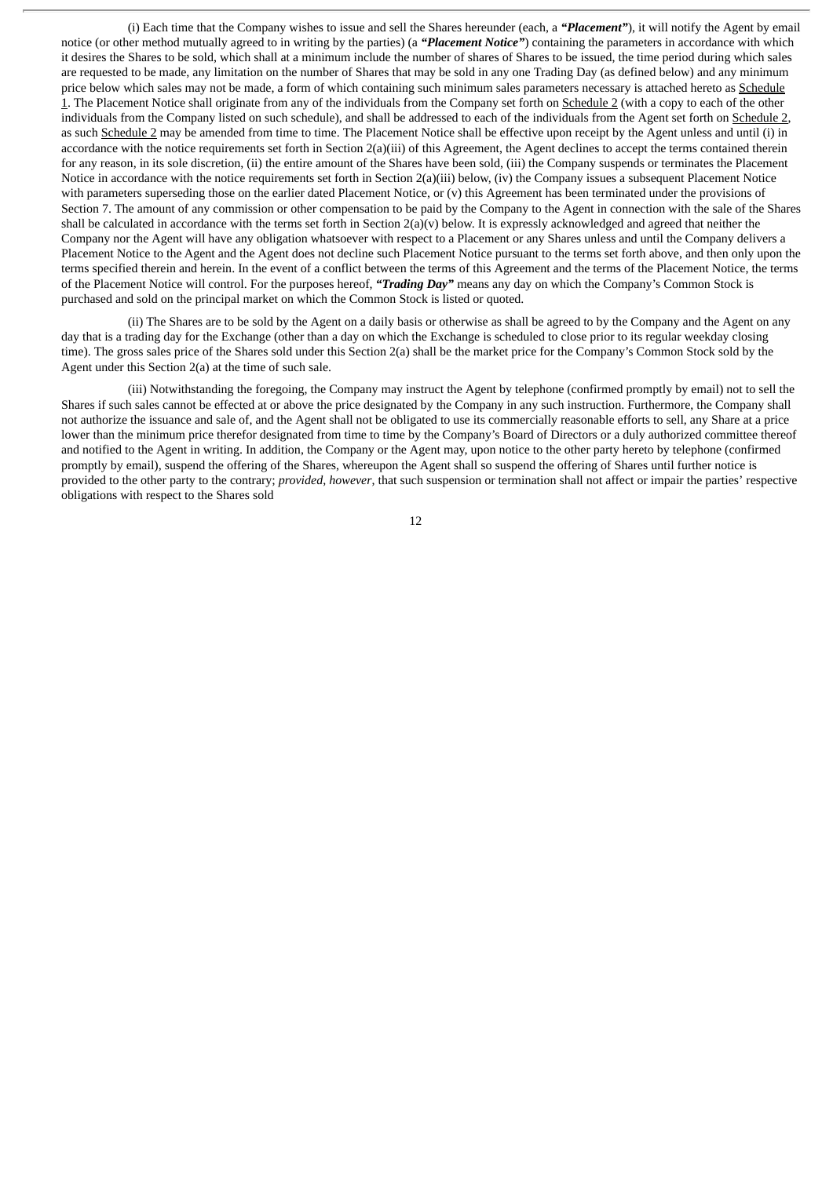(i) Each time that the Company wishes to issue and sell the Shares hereunder (each, a *"Placement"*), it will notify the Agent by email notice (or other method mutually agreed to in writing by the parties) (a *"Placement Notice"*) containing the parameters in accordance with which it desires the Shares to be sold, which shall at a minimum include the number of shares of Shares to be issued, the time period during which sales are requested to be made, any limitation on the number of Shares that may be sold in any one Trading Day (as defined below) and any minimum price below which sales may not be made, a form of which containing such minimum sales parameters necessary is attached hereto as Schedule 1. The Placement Notice shall originate from any of the individuals from the Company set forth on Schedule 2 (with a copy to each of the other individuals from the Company listed on such schedule), and shall be addressed to each of the individuals from the Agent set forth on Schedule 2, as such Schedule 2 may be amended from time to time. The Placement Notice shall be effective upon receipt by the Agent unless and until (i) in accordance with the notice requirements set forth in Section 2(a)(iii) of this Agreement, the Agent declines to accept the terms contained therein for any reason, in its sole discretion, (ii) the entire amount of the Shares have been sold, (iii) the Company suspends or terminates the Placement Notice in accordance with the notice requirements set forth in Section 2(a)(iii) below, (iv) the Company issues a subsequent Placement Notice with parameters superseding those on the earlier dated Placement Notice, or (v) this Agreement has been terminated under the provisions of Section 7. The amount of any commission or other compensation to be paid by the Company to the Agent in connection with the sale of the Shares shall be calculated in accordance with the terms set forth in Section  $2(a)(v)$  below. It is expressly acknowledged and agreed that neither the Company nor the Agent will have any obligation whatsoever with respect to a Placement or any Shares unless and until the Company delivers a Placement Notice to the Agent and the Agent does not decline such Placement Notice pursuant to the terms set forth above, and then only upon the terms specified therein and herein. In the event of a conflict between the terms of this Agreement and the terms of the Placement Notice, the terms of the Placement Notice will control. For the purposes hereof, *"Trading Day"* means any day on which the Company's Common Stock is purchased and sold on the principal market on which the Common Stock is listed or quoted.

(ii) The Shares are to be sold by the Agent on a daily basis or otherwise as shall be agreed to by the Company and the Agent on any day that is a trading day for the Exchange (other than a day on which the Exchange is scheduled to close prior to its regular weekday closing time). The gross sales price of the Shares sold under this Section 2(a) shall be the market price for the Company's Common Stock sold by the Agent under this Section 2(a) at the time of such sale.

(iii) Notwithstanding the foregoing, the Company may instruct the Agent by telephone (confirmed promptly by email) not to sell the Shares if such sales cannot be effected at or above the price designated by the Company in any such instruction. Furthermore, the Company shall not authorize the issuance and sale of, and the Agent shall not be obligated to use its commercially reasonable efforts to sell, any Share at a price lower than the minimum price therefor designated from time to time by the Company's Board of Directors or a duly authorized committee thereof and notified to the Agent in writing. In addition, the Company or the Agent may, upon notice to the other party hereto by telephone (confirmed promptly by email), suspend the offering of the Shares, whereupon the Agent shall so suspend the offering of Shares until further notice is provided to the other party to the contrary; *provided*, *however*, that such suspension or termination shall not affect or impair the parties' respective obligations with respect to the Shares sold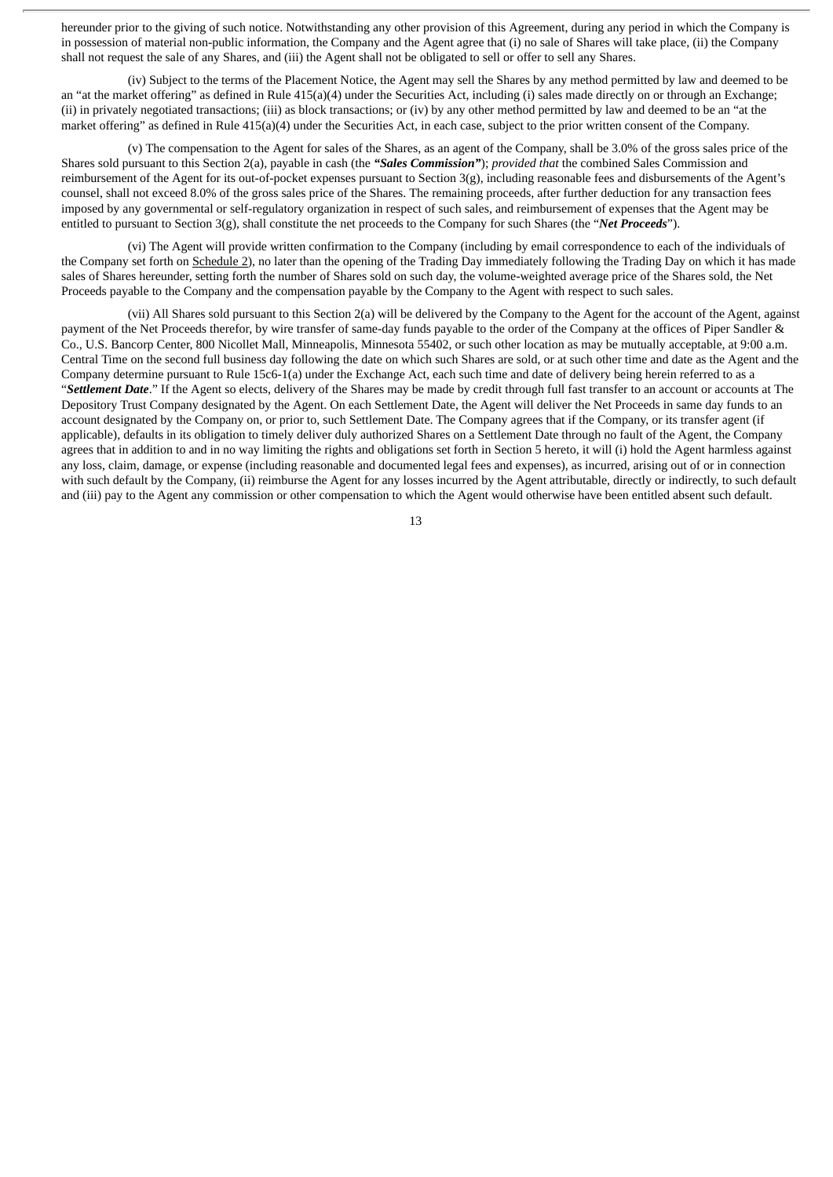hereunder prior to the giving of such notice. Notwithstanding any other provision of this Agreement, during any period in which the Company is in possession of material non-public information, the Company and the Agent agree that (i) no sale of Shares will take place, (ii) the Company shall not request the sale of any Shares, and (iii) the Agent shall not be obligated to sell or offer to sell any Shares.

(iv) Subject to the terms of the Placement Notice, the Agent may sell the Shares by any method permitted by law and deemed to be an "at the market offering" as defined in Rule 415(a)(4) under the Securities Act, including (i) sales made directly on or through an Exchange; (ii) in privately negotiated transactions; (iii) as block transactions; or (iv) by any other method permitted by law and deemed to be an "at the market offering" as defined in Rule 415(a)(4) under the Securities Act, in each case, subject to the prior written consent of the Company.

(v) The compensation to the Agent for sales of the Shares, as an agent of the Company, shall be 3.0% of the gross sales price of the Shares sold pursuant to this Section 2(a), payable in cash (the *"Sales Commission"*); *provided that* the combined Sales Commission and reimbursement of the Agent for its out-of-pocket expenses pursuant to Section 3(g), including reasonable fees and disbursements of the Agent's counsel, shall not exceed 8.0% of the gross sales price of the Shares. The remaining proceeds, after further deduction for any transaction fees imposed by any governmental or self-regulatory organization in respect of such sales, and reimbursement of expenses that the Agent may be entitled to pursuant to Section 3(g), shall constitute the net proceeds to the Company for such Shares (the "*Net Proceeds*").

(vi) The Agent will provide written confirmation to the Company (including by email correspondence to each of the individuals of the Company set forth on Schedule 2), no later than the opening of the Trading Day immediately following the Trading Day on which it has made sales of Shares hereunder, setting forth the number of Shares sold on such day, the volume-weighted average price of the Shares sold, the Net Proceeds payable to the Company and the compensation payable by the Company to the Agent with respect to such sales.

(vii) All Shares sold pursuant to this Section 2(a) will be delivered by the Company to the Agent for the account of the Agent, against payment of the Net Proceeds therefor, by wire transfer of same-day funds payable to the order of the Company at the offices of Piper Sandler & Co., U.S. Bancorp Center, 800 Nicollet Mall, Minneapolis, Minnesota 55402, or such other location as may be mutually acceptable, at 9:00 a.m. Central Time on the second full business day following the date on which such Shares are sold, or at such other time and date as the Agent and the Company determine pursuant to Rule 15c6-1(a) under the Exchange Act, each such time and date of delivery being herein referred to as a "*Settlement Date*." If the Agent so elects, delivery of the Shares may be made by credit through full fast transfer to an account or accounts at The Depository Trust Company designated by the Agent. On each Settlement Date, the Agent will deliver the Net Proceeds in same day funds to an account designated by the Company on, or prior to, such Settlement Date. The Company agrees that if the Company, or its transfer agent (if applicable), defaults in its obligation to timely deliver duly authorized Shares on a Settlement Date through no fault of the Agent, the Company agrees that in addition to and in no way limiting the rights and obligations set forth in Section 5 hereto, it will (i) hold the Agent harmless against any loss, claim, damage, or expense (including reasonable and documented legal fees and expenses), as incurred, arising out of or in connection with such default by the Company, (ii) reimburse the Agent for any losses incurred by the Agent attributable, directly or indirectly, to such default and (iii) pay to the Agent any commission or other compensation to which the Agent would otherwise have been entitled absent such default.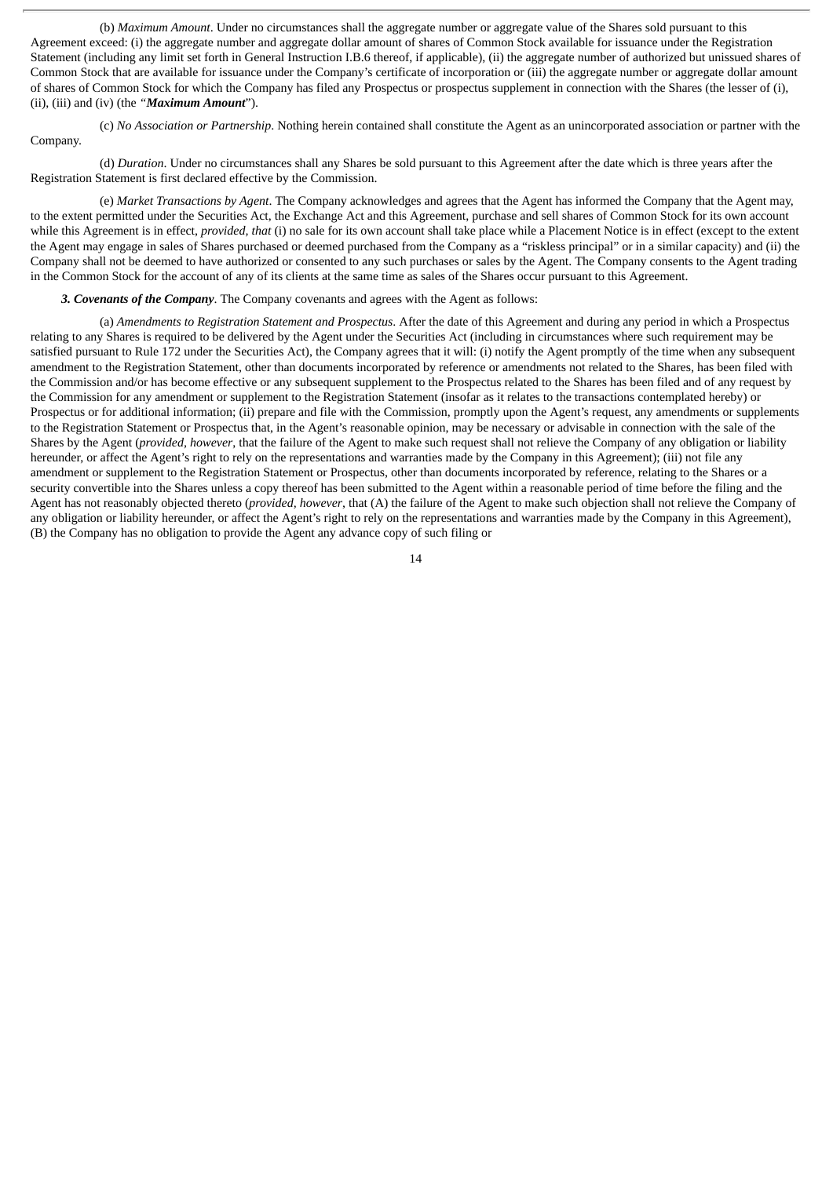(b) *Maximum Amount*. Under no circumstances shall the aggregate number or aggregate value of the Shares sold pursuant to this Agreement exceed: (i) the aggregate number and aggregate dollar amount of shares of Common Stock available for issuance under the Registration Statement (including any limit set forth in General Instruction I.B.6 thereof, if applicable), (ii) the aggregate number of authorized but unissued shares of Common Stock that are available for issuance under the Company's certificate of incorporation or (iii) the aggregate number or aggregate dollar amount of shares of Common Stock for which the Company has filed any Prospectus or prospectus supplement in connection with the Shares (the lesser of (i), (ii), (iii) and (iv) (the *"Maximum Amount*").

(c) *No Association or Partnership*. Nothing herein contained shall constitute the Agent as an unincorporated association or partner with the Company.

(d) *Duration*. Under no circumstances shall any Shares be sold pursuant to this Agreement after the date which is three years after the Registration Statement is first declared effective by the Commission.

(e) *Market Transactions by Agent*. The Company acknowledges and agrees that the Agent has informed the Company that the Agent may, to the extent permitted under the Securities Act, the Exchange Act and this Agreement, purchase and sell shares of Common Stock for its own account while this Agreement is in effect, *provided, that* (i) no sale for its own account shall take place while a Placement Notice is in effect (except to the extent the Agent may engage in sales of Shares purchased or deemed purchased from the Company as a "riskless principal" or in a similar capacity) and (ii) the Company shall not be deemed to have authorized or consented to any such purchases or sales by the Agent. The Company consents to the Agent trading in the Common Stock for the account of any of its clients at the same time as sales of the Shares occur pursuant to this Agreement.

#### *3. Covenants of the Company*. The Company covenants and agrees with the Agent as follows:

(a) *Amendments to Registration Statement and Prospectus*. After the date of this Agreement and during any period in which a Prospectus relating to any Shares is required to be delivered by the Agent under the Securities Act (including in circumstances where such requirement may be satisfied pursuant to Rule 172 under the Securities Act), the Company agrees that it will: (i) notify the Agent promptly of the time when any subsequent amendment to the Registration Statement, other than documents incorporated by reference or amendments not related to the Shares, has been filed with the Commission and/or has become effective or any subsequent supplement to the Prospectus related to the Shares has been filed and of any request by the Commission for any amendment or supplement to the Registration Statement (insofar as it relates to the transactions contemplated hereby) or Prospectus or for additional information; (ii) prepare and file with the Commission, promptly upon the Agent's request, any amendments or supplements to the Registration Statement or Prospectus that, in the Agent's reasonable opinion, may be necessary or advisable in connection with the sale of the Shares by the Agent (*provided, however*, that the failure of the Agent to make such request shall not relieve the Company of any obligation or liability hereunder, or affect the Agent's right to rely on the representations and warranties made by the Company in this Agreement); (iii) not file any amendment or supplement to the Registration Statement or Prospectus, other than documents incorporated by reference, relating to the Shares or a security convertible into the Shares unless a copy thereof has been submitted to the Agent within a reasonable period of time before the filing and the Agent has not reasonably objected thereto (*provided, however*, that (A) the failure of the Agent to make such objection shall not relieve the Company of any obligation or liability hereunder, or affect the Agent's right to rely on the representations and warranties made by the Company in this Agreement), (B) the Company has no obligation to provide the Agent any advance copy of such filing or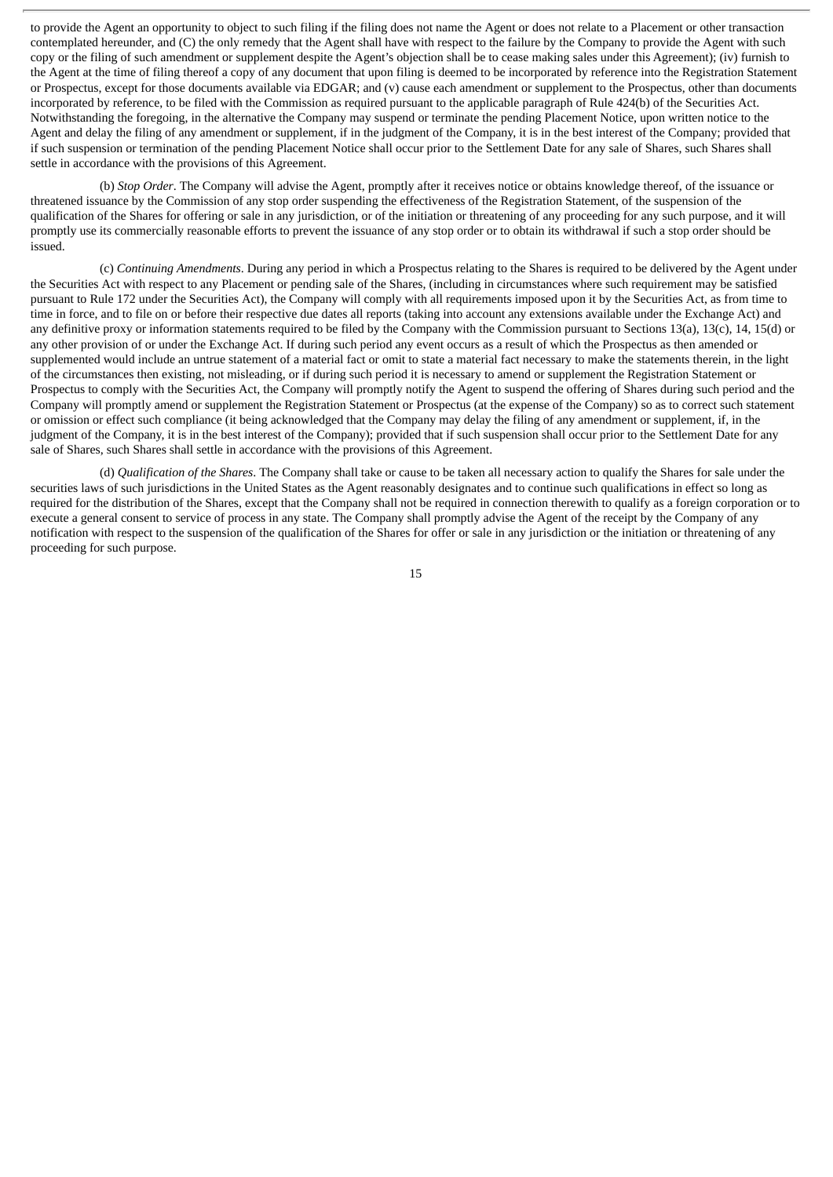to provide the Agent an opportunity to object to such filing if the filing does not name the Agent or does not relate to a Placement or other transaction contemplated hereunder, and (C) the only remedy that the Agent shall have with respect to the failure by the Company to provide the Agent with such copy or the filing of such amendment or supplement despite the Agent's objection shall be to cease making sales under this Agreement); (iv) furnish to the Agent at the time of filing thereof a copy of any document that upon filing is deemed to be incorporated by reference into the Registration Statement or Prospectus, except for those documents available via EDGAR; and (v) cause each amendment or supplement to the Prospectus, other than documents incorporated by reference, to be filed with the Commission as required pursuant to the applicable paragraph of Rule 424(b) of the Securities Act. Notwithstanding the foregoing, in the alternative the Company may suspend or terminate the pending Placement Notice, upon written notice to the Agent and delay the filing of any amendment or supplement, if in the judgment of the Company, it is in the best interest of the Company; provided that if such suspension or termination of the pending Placement Notice shall occur prior to the Settlement Date for any sale of Shares, such Shares shall settle in accordance with the provisions of this Agreement.

(b) *Stop Order*. The Company will advise the Agent, promptly after it receives notice or obtains knowledge thereof, of the issuance or threatened issuance by the Commission of any stop order suspending the effectiveness of the Registration Statement, of the suspension of the qualification of the Shares for offering or sale in any jurisdiction, or of the initiation or threatening of any proceeding for any such purpose, and it will promptly use its commercially reasonable efforts to prevent the issuance of any stop order or to obtain its withdrawal if such a stop order should be issued.

(c) *Continuing Amendments*. During any period in which a Prospectus relating to the Shares is required to be delivered by the Agent under the Securities Act with respect to any Placement or pending sale of the Shares, (including in circumstances where such requirement may be satisfied pursuant to Rule 172 under the Securities Act), the Company will comply with all requirements imposed upon it by the Securities Act, as from time to time in force, and to file on or before their respective due dates all reports (taking into account any extensions available under the Exchange Act) and any definitive proxy or information statements required to be filed by the Company with the Commission pursuant to Sections 13(a), 13(c), 14, 15(d) or any other provision of or under the Exchange Act. If during such period any event occurs as a result of which the Prospectus as then amended or supplemented would include an untrue statement of a material fact or omit to state a material fact necessary to make the statements therein, in the light of the circumstances then existing, not misleading, or if during such period it is necessary to amend or supplement the Registration Statement or Prospectus to comply with the Securities Act, the Company will promptly notify the Agent to suspend the offering of Shares during such period and the Company will promptly amend or supplement the Registration Statement or Prospectus (at the expense of the Company) so as to correct such statement or omission or effect such compliance (it being acknowledged that the Company may delay the filing of any amendment or supplement, if, in the judgment of the Company, it is in the best interest of the Company); provided that if such suspension shall occur prior to the Settlement Date for any sale of Shares, such Shares shall settle in accordance with the provisions of this Agreement.

(d) *Qualification of the Shares*. The Company shall take or cause to be taken all necessary action to qualify the Shares for sale under the securities laws of such jurisdictions in the United States as the Agent reasonably designates and to continue such qualifications in effect so long as required for the distribution of the Shares, except that the Company shall not be required in connection therewith to qualify as a foreign corporation or to execute a general consent to service of process in any state. The Company shall promptly advise the Agent of the receipt by the Company of any notification with respect to the suspension of the qualification of the Shares for offer or sale in any jurisdiction or the initiation or threatening of any proceeding for such purpose.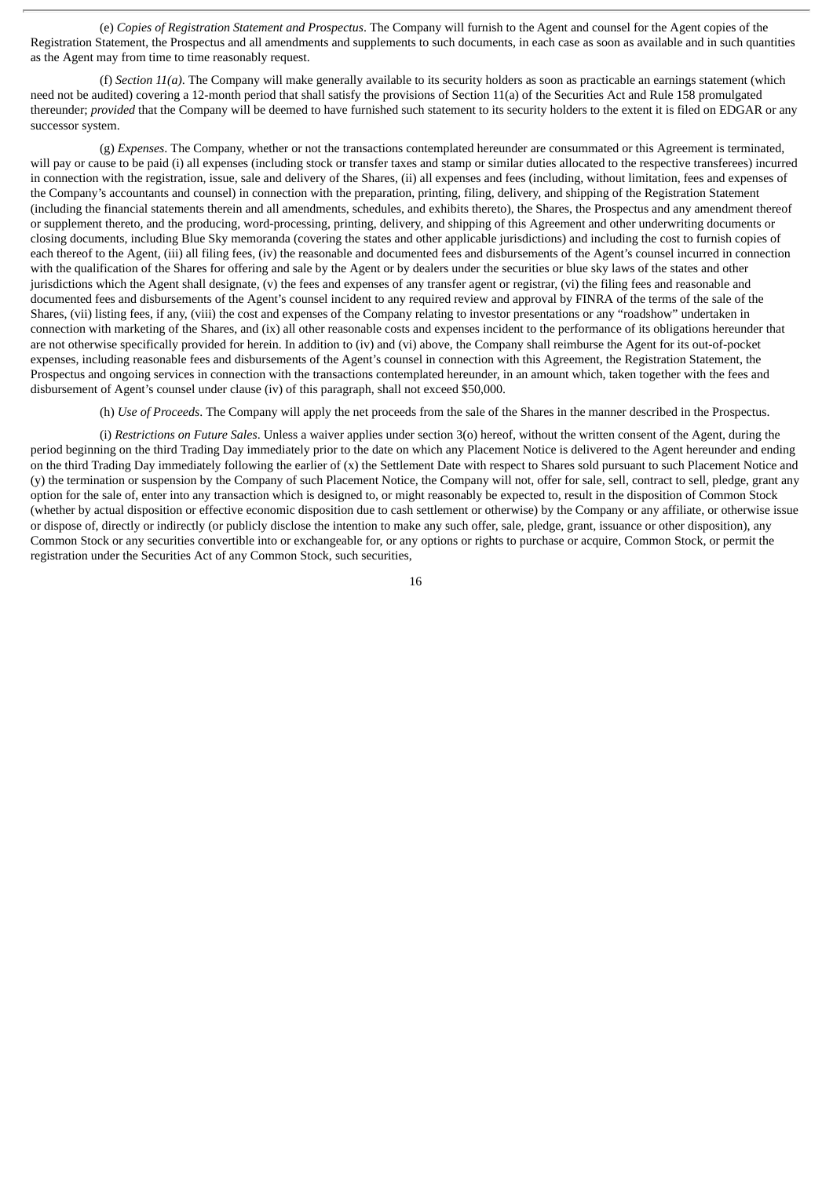(e) *Copies of Registration Statement and Prospectus*. The Company will furnish to the Agent and counsel for the Agent copies of the Registration Statement, the Prospectus and all amendments and supplements to such documents, in each case as soon as available and in such quantities as the Agent may from time to time reasonably request.

(f) *Section 11(a)*. The Company will make generally available to its security holders as soon as practicable an earnings statement (which need not be audited) covering a 12-month period that shall satisfy the provisions of Section 11(a) of the Securities Act and Rule 158 promulgated thereunder; *provided* that the Company will be deemed to have furnished such statement to its security holders to the extent it is filed on EDGAR or any successor system.

(g) *Expenses*. The Company, whether or not the transactions contemplated hereunder are consummated or this Agreement is terminated, will pay or cause to be paid (i) all expenses (including stock or transfer taxes and stamp or similar duties allocated to the respective transferees) incurred in connection with the registration, issue, sale and delivery of the Shares, (ii) all expenses and fees (including, without limitation, fees and expenses of the Company's accountants and counsel) in connection with the preparation, printing, filing, delivery, and shipping of the Registration Statement (including the financial statements therein and all amendments, schedules, and exhibits thereto), the Shares, the Prospectus and any amendment thereof or supplement thereto, and the producing, word-processing, printing, delivery, and shipping of this Agreement and other underwriting documents or closing documents, including Blue Sky memoranda (covering the states and other applicable jurisdictions) and including the cost to furnish copies of each thereof to the Agent, (iii) all filing fees, (iv) the reasonable and documented fees and disbursements of the Agent's counsel incurred in connection with the qualification of the Shares for offering and sale by the Agent or by dealers under the securities or blue sky laws of the states and other jurisdictions which the Agent shall designate, (v) the fees and expenses of any transfer agent or registrar, (vi) the filing fees and reasonable and documented fees and disbursements of the Agent's counsel incident to any required review and approval by FINRA of the terms of the sale of the Shares, (vii) listing fees, if any, (viii) the cost and expenses of the Company relating to investor presentations or any "roadshow" undertaken in connection with marketing of the Shares, and (ix) all other reasonable costs and expenses incident to the performance of its obligations hereunder that are not otherwise specifically provided for herein. In addition to (iv) and (vi) above, the Company shall reimburse the Agent for its out-of-pocket expenses, including reasonable fees and disbursements of the Agent's counsel in connection with this Agreement, the Registration Statement, the Prospectus and ongoing services in connection with the transactions contemplated hereunder, in an amount which, taken together with the fees and disbursement of Agent's counsel under clause (iv) of this paragraph, shall not exceed \$50,000.

(h) *Use of Proceeds*. The Company will apply the net proceeds from the sale of the Shares in the manner described in the Prospectus.

(i) *Restrictions on Future Sales*. Unless a waiver applies under section 3(o) hereof, without the written consent of the Agent, during the period beginning on the third Trading Day immediately prior to the date on which any Placement Notice is delivered to the Agent hereunder and ending on the third Trading Day immediately following the earlier of (x) the Settlement Date with respect to Shares sold pursuant to such Placement Notice and (y) the termination or suspension by the Company of such Placement Notice, the Company will not, offer for sale, sell, contract to sell, pledge, grant any option for the sale of, enter into any transaction which is designed to, or might reasonably be expected to, result in the disposition of Common Stock (whether by actual disposition or effective economic disposition due to cash settlement or otherwise) by the Company or any affiliate, or otherwise issue or dispose of, directly or indirectly (or publicly disclose the intention to make any such offer, sale, pledge, grant, issuance or other disposition), any Common Stock or any securities convertible into or exchangeable for, or any options or rights to purchase or acquire, Common Stock, or permit the registration under the Securities Act of any Common Stock, such securities,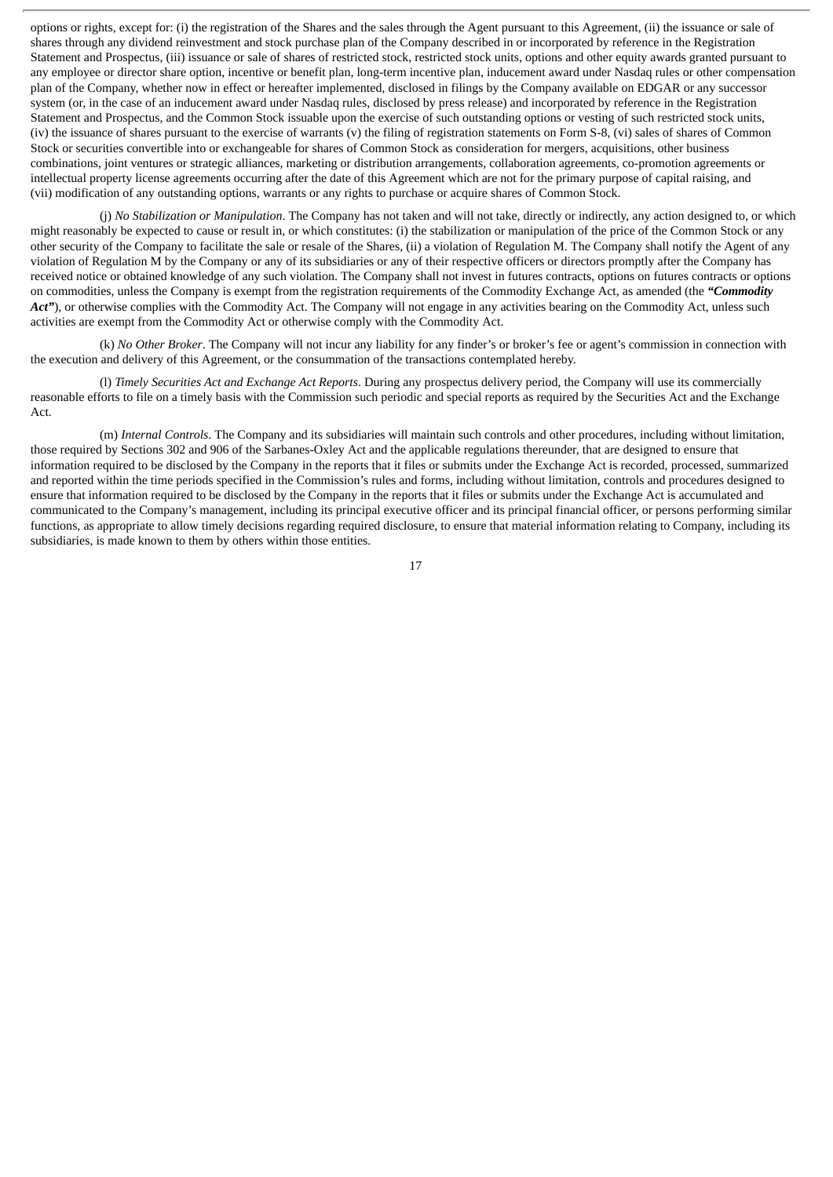options or rights, except for: (i) the registration of the Shares and the sales through the Agent pursuant to this Agreement, (ii) the issuance or sale of shares through any dividend reinvestment and stock purchase plan of the Company described in or incorporated by reference in the Registration Statement and Prospectus, (iii) issuance or sale of shares of restricted stock, restricted stock units, options and other equity awards granted pursuant to any employee or director share option, incentive or benefit plan, long-term incentive plan, inducement award under Nasdaq rules or other compensation plan of the Company, whether now in effect or hereafter implemented, disclosed in filings by the Company available on EDGAR or any successor system (or, in the case of an inducement award under Nasdaq rules, disclosed by press release) and incorporated by reference in the Registration Statement and Prospectus, and the Common Stock issuable upon the exercise of such outstanding options or vesting of such restricted stock units, (iv) the issuance of shares pursuant to the exercise of warrants (v) the filing of registration statements on Form S-8, (vi) sales of shares of Common Stock or securities convertible into or exchangeable for shares of Common Stock as consideration for mergers, acquisitions, other business combinations, joint ventures or strategic alliances, marketing or distribution arrangements, collaboration agreements, co-promotion agreements or intellectual property license agreements occurring after the date of this Agreement which are not for the primary purpose of capital raising, and (vii) modification of any outstanding options, warrants or any rights to purchase or acquire shares of Common Stock.

(j) *No Stabilization or Manipulation*. The Company has not taken and will not take, directly or indirectly, any action designed to, or which might reasonably be expected to cause or result in, or which constitutes: (i) the stabilization or manipulation of the price of the Common Stock or any other security of the Company to facilitate the sale or resale of the Shares, (ii) a violation of Regulation M. The Company shall notify the Agent of any violation of Regulation M by the Company or any of its subsidiaries or any of their respective officers or directors promptly after the Company has received notice or obtained knowledge of any such violation. The Company shall not invest in futures contracts, options on futures contracts or options on commodities, unless the Company is exempt from the registration requirements of the Commodity Exchange Act, as amended (the *"Commodity* Act"), or otherwise complies with the Commodity Act. The Company will not engage in any activities bearing on the Commodity Act, unless such activities are exempt from the Commodity Act or otherwise comply with the Commodity Act.

(k) *No Other Broker*. The Company will not incur any liability for any finder's or broker's fee or agent's commission in connection with the execution and delivery of this Agreement, or the consummation of the transactions contemplated hereby.

(l) *Timely Securities Act and Exchange Act Reports*. During any prospectus delivery period, the Company will use its commercially reasonable efforts to file on a timely basis with the Commission such periodic and special reports as required by the Securities Act and the Exchange Act.

(m) *Internal Controls*. The Company and its subsidiaries will maintain such controls and other procedures, including without limitation, those required by Sections 302 and 906 of the Sarbanes-Oxley Act and the applicable regulations thereunder, that are designed to ensure that information required to be disclosed by the Company in the reports that it files or submits under the Exchange Act is recorded, processed, summarized and reported within the time periods specified in the Commission's rules and forms, including without limitation, controls and procedures designed to ensure that information required to be disclosed by the Company in the reports that it files or submits under the Exchange Act is accumulated and communicated to the Company's management, including its principal executive officer and its principal financial officer, or persons performing similar functions, as appropriate to allow timely decisions regarding required disclosure, to ensure that material information relating to Company, including its subsidiaries, is made known to them by others within those entities.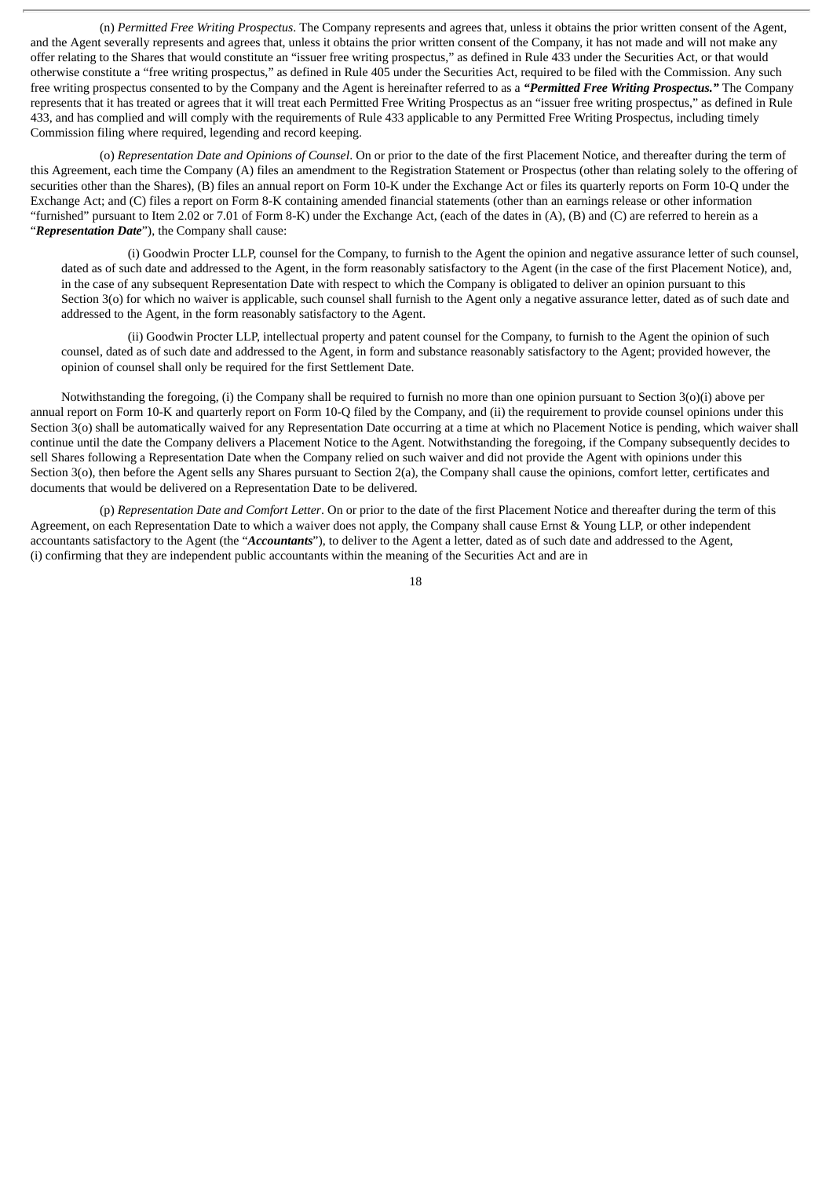(n) *Permitted Free Writing Prospectus*. The Company represents and agrees that, unless it obtains the prior written consent of the Agent, and the Agent severally represents and agrees that, unless it obtains the prior written consent of the Company, it has not made and will not make any offer relating to the Shares that would constitute an "issuer free writing prospectus," as defined in Rule 433 under the Securities Act, or that would otherwise constitute a "free writing prospectus," as defined in Rule 405 under the Securities Act, required to be filed with the Commission. Any such free writing prospectus consented to by the Company and the Agent is hereinafter referred to as a *"Permitted Free Writing Prospectus."* The Company represents that it has treated or agrees that it will treat each Permitted Free Writing Prospectus as an "issuer free writing prospectus," as defined in Rule 433, and has complied and will comply with the requirements of Rule 433 applicable to any Permitted Free Writing Prospectus, including timely Commission filing where required, legending and record keeping.

(o) *Representation Date and Opinions of Counsel*. On or prior to the date of the first Placement Notice, and thereafter during the term of this Agreement, each time the Company (A) files an amendment to the Registration Statement or Prospectus (other than relating solely to the offering of securities other than the Shares), (B) files an annual report on Form 10-K under the Exchange Act or files its quarterly reports on Form 10-Q under the Exchange Act; and (C) files a report on Form 8-K containing amended financial statements (other than an earnings release or other information "furnished" pursuant to Item 2.02 or 7.01 of Form 8-K) under the Exchange Act, (each of the dates in (A), (B) and (C) are referred to herein as a "*Representation Date*"), the Company shall cause:

(i) Goodwin Procter LLP, counsel for the Company, to furnish to the Agent the opinion and negative assurance letter of such counsel, dated as of such date and addressed to the Agent, in the form reasonably satisfactory to the Agent (in the case of the first Placement Notice), and, in the case of any subsequent Representation Date with respect to which the Company is obligated to deliver an opinion pursuant to this Section 3(o) for which no waiver is applicable, such counsel shall furnish to the Agent only a negative assurance letter, dated as of such date and addressed to the Agent, in the form reasonably satisfactory to the Agent.

(ii) Goodwin Procter LLP, intellectual property and patent counsel for the Company, to furnish to the Agent the opinion of such counsel, dated as of such date and addressed to the Agent, in form and substance reasonably satisfactory to the Agent; provided however, the opinion of counsel shall only be required for the first Settlement Date.

Notwithstanding the foregoing, (i) the Company shall be required to furnish no more than one opinion pursuant to Section 3(o)(i) above per annual report on Form 10-K and quarterly report on Form 10-Q filed by the Company, and (ii) the requirement to provide counsel opinions under this Section 3(o) shall be automatically waived for any Representation Date occurring at a time at which no Placement Notice is pending, which waiver shall continue until the date the Company delivers a Placement Notice to the Agent. Notwithstanding the foregoing, if the Company subsequently decides to sell Shares following a Representation Date when the Company relied on such waiver and did not provide the Agent with opinions under this Section 3(o), then before the Agent sells any Shares pursuant to Section 2(a), the Company shall cause the opinions, comfort letter, certificates and documents that would be delivered on a Representation Date to be delivered.

(p) *Representation Date and Comfort Letter*. On or prior to the date of the first Placement Notice and thereafter during the term of this Agreement, on each Representation Date to which a waiver does not apply, the Company shall cause Ernst & Young LLP, or other independent accountants satisfactory to the Agent (the "*Accountants*"), to deliver to the Agent a letter, dated as of such date and addressed to the Agent, (i) confirming that they are independent public accountants within the meaning of the Securities Act and are in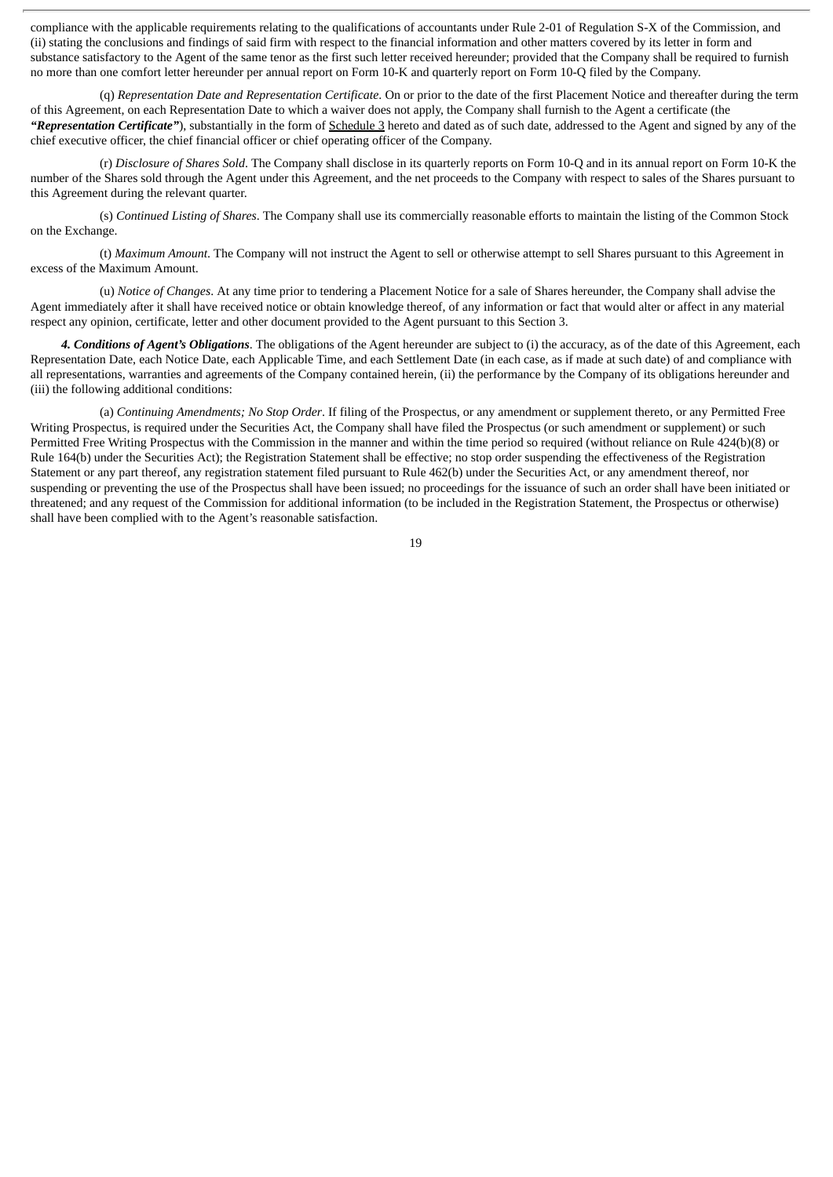compliance with the applicable requirements relating to the qualifications of accountants under Rule 2-01 of Regulation S-X of the Commission, and (ii) stating the conclusions and findings of said firm with respect to the financial information and other matters covered by its letter in form and substance satisfactory to the Agent of the same tenor as the first such letter received hereunder; provided that the Company shall be required to furnish no more than one comfort letter hereunder per annual report on Form 10-K and quarterly report on Form 10-Q filed by the Company.

(q) *Representation Date and Representation Certificate*. On or prior to the date of the first Placement Notice and thereafter during the term of this Agreement, on each Representation Date to which a waiver does not apply, the Company shall furnish to the Agent a certificate (the *"Representation Certificate"*), substantially in the form of Schedule 3 hereto and dated as of such date, addressed to the Agent and signed by any of the chief executive officer, the chief financial officer or chief operating officer of the Company.

(r) *Disclosure of Shares Sold*. The Company shall disclose in its quarterly reports on Form 10-Q and in its annual report on Form 10-K the number of the Shares sold through the Agent under this Agreement, and the net proceeds to the Company with respect to sales of the Shares pursuant to this Agreement during the relevant quarter.

(s) *Continued Listing of Shares*. The Company shall use its commercially reasonable efforts to maintain the listing of the Common Stock on the Exchange.

(t) *Maximum Amount*. The Company will not instruct the Agent to sell or otherwise attempt to sell Shares pursuant to this Agreement in excess of the Maximum Amount.

(u) *Notice of Changes*. At any time prior to tendering a Placement Notice for a sale of Shares hereunder, the Company shall advise the Agent immediately after it shall have received notice or obtain knowledge thereof, of any information or fact that would alter or affect in any material respect any opinion, certificate, letter and other document provided to the Agent pursuant to this Section 3.

*4. Conditions of Agent's Obligations*. The obligations of the Agent hereunder are subject to (i) the accuracy, as of the date of this Agreement, each Representation Date, each Notice Date, each Applicable Time, and each Settlement Date (in each case, as if made at such date) of and compliance with all representations, warranties and agreements of the Company contained herein, (ii) the performance by the Company of its obligations hereunder and (iii) the following additional conditions:

(a) *Continuing Amendments; No Stop Order*. If filing of the Prospectus, or any amendment or supplement thereto, or any Permitted Free Writing Prospectus, is required under the Securities Act, the Company shall have filed the Prospectus (or such amendment or supplement) or such Permitted Free Writing Prospectus with the Commission in the manner and within the time period so required (without reliance on Rule 424(b)(8) or Rule 164(b) under the Securities Act); the Registration Statement shall be effective; no stop order suspending the effectiveness of the Registration Statement or any part thereof, any registration statement filed pursuant to Rule 462(b) under the Securities Act, or any amendment thereof, nor suspending or preventing the use of the Prospectus shall have been issued; no proceedings for the issuance of such an order shall have been initiated or threatened; and any request of the Commission for additional information (to be included in the Registration Statement, the Prospectus or otherwise) shall have been complied with to the Agent's reasonable satisfaction.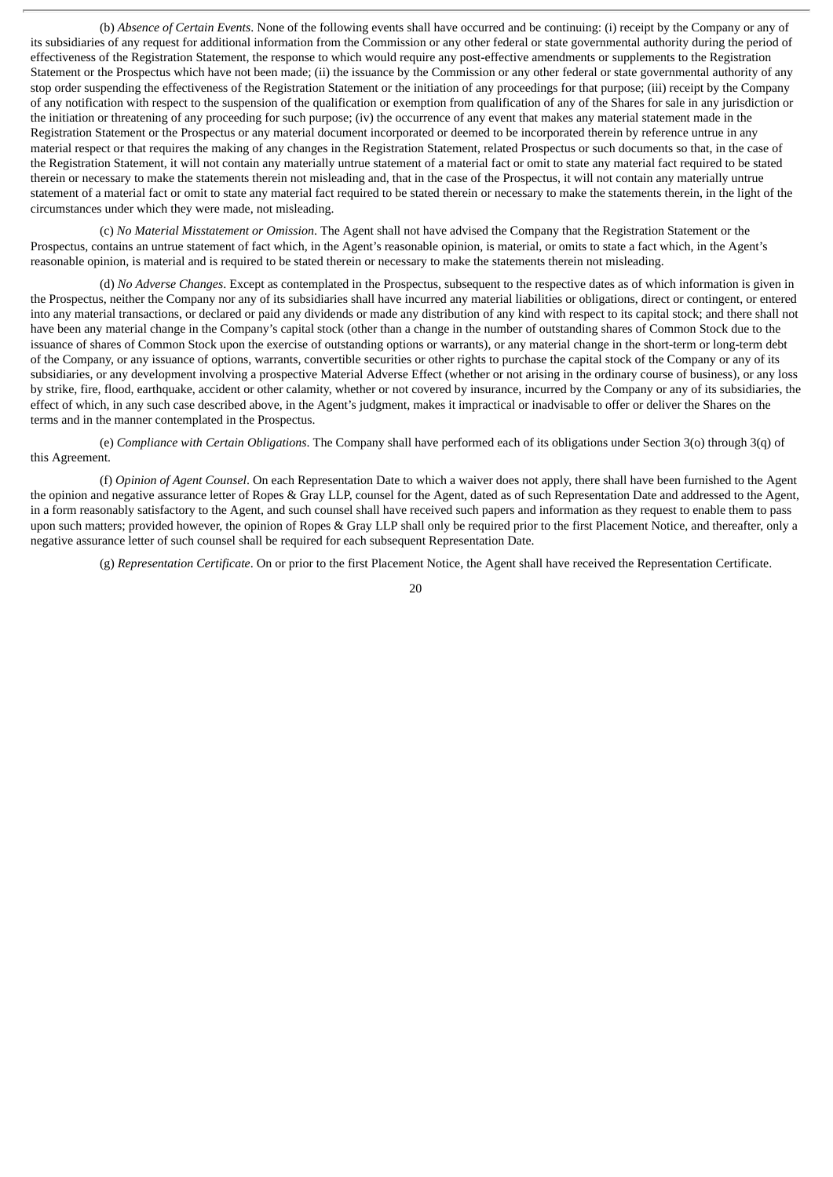(b) *Absence of Certain Events*. None of the following events shall have occurred and be continuing: (i) receipt by the Company or any of its subsidiaries of any request for additional information from the Commission or any other federal or state governmental authority during the period of effectiveness of the Registration Statement, the response to which would require any post-effective amendments or supplements to the Registration Statement or the Prospectus which have not been made; (ii) the issuance by the Commission or any other federal or state governmental authority of any stop order suspending the effectiveness of the Registration Statement or the initiation of any proceedings for that purpose; (iii) receipt by the Company of any notification with respect to the suspension of the qualification or exemption from qualification of any of the Shares for sale in any jurisdiction or the initiation or threatening of any proceeding for such purpose; (iv) the occurrence of any event that makes any material statement made in the Registration Statement or the Prospectus or any material document incorporated or deemed to be incorporated therein by reference untrue in any material respect or that requires the making of any changes in the Registration Statement, related Prospectus or such documents so that, in the case of the Registration Statement, it will not contain any materially untrue statement of a material fact or omit to state any material fact required to be stated therein or necessary to make the statements therein not misleading and, that in the case of the Prospectus, it will not contain any materially untrue statement of a material fact or omit to state any material fact required to be stated therein or necessary to make the statements therein, in the light of the circumstances under which they were made, not misleading.

(c) *No Material Misstatement or Omission*. The Agent shall not have advised the Company that the Registration Statement or the Prospectus, contains an untrue statement of fact which, in the Agent's reasonable opinion, is material, or omits to state a fact which, in the Agent's reasonable opinion, is material and is required to be stated therein or necessary to make the statements therein not misleading.

(d) *No Adverse Changes*. Except as contemplated in the Prospectus, subsequent to the respective dates as of which information is given in the Prospectus, neither the Company nor any of its subsidiaries shall have incurred any material liabilities or obligations, direct or contingent, or entered into any material transactions, or declared or paid any dividends or made any distribution of any kind with respect to its capital stock; and there shall not have been any material change in the Company's capital stock (other than a change in the number of outstanding shares of Common Stock due to the issuance of shares of Common Stock upon the exercise of outstanding options or warrants), or any material change in the short-term or long-term debt of the Company, or any issuance of options, warrants, convertible securities or other rights to purchase the capital stock of the Company or any of its subsidiaries, or any development involving a prospective Material Adverse Effect (whether or not arising in the ordinary course of business), or any loss by strike, fire, flood, earthquake, accident or other calamity, whether or not covered by insurance, incurred by the Company or any of its subsidiaries, the effect of which, in any such case described above, in the Agent's judgment, makes it impractical or inadvisable to offer or deliver the Shares on the terms and in the manner contemplated in the Prospectus.

(e) *Compliance with Certain Obligations*. The Company shall have performed each of its obligations under Section 3(o) through 3(q) of this Agreement.

(f) *Opinion of Agent Counsel*. On each Representation Date to which a waiver does not apply, there shall have been furnished to the Agent the opinion and negative assurance letter of Ropes & Gray LLP, counsel for the Agent, dated as of such Representation Date and addressed to the Agent, in a form reasonably satisfactory to the Agent, and such counsel shall have received such papers and information as they request to enable them to pass upon such matters; provided however, the opinion of Ropes & Gray LLP shall only be required prior to the first Placement Notice, and thereafter, only a negative assurance letter of such counsel shall be required for each subsequent Representation Date.

(g) *Representation Certificate*. On or prior to the first Placement Notice, the Agent shall have received the Representation Certificate.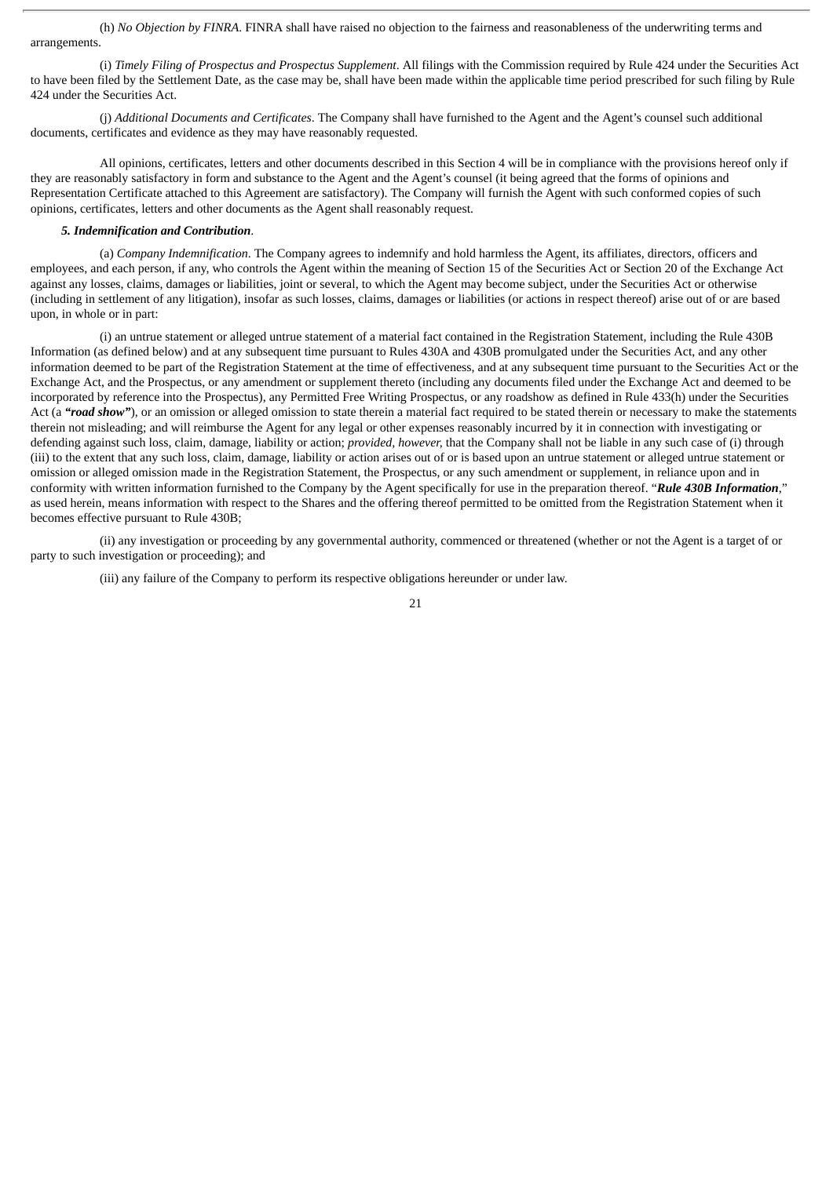(h) *No Objection by FINRA*. FINRA shall have raised no objection to the fairness and reasonableness of the underwriting terms and arrangements.

(i) *Timely Filing of Prospectus and Prospectus Supplement*. All filings with the Commission required by Rule 424 under the Securities Act to have been filed by the Settlement Date, as the case may be, shall have been made within the applicable time period prescribed for such filing by Rule 424 under the Securities Act.

(j) *Additional Documents and Certificates*. The Company shall have furnished to the Agent and the Agent's counsel such additional documents, certificates and evidence as they may have reasonably requested.

All opinions, certificates, letters and other documents described in this Section 4 will be in compliance with the provisions hereof only if they are reasonably satisfactory in form and substance to the Agent and the Agent's counsel (it being agreed that the forms of opinions and Representation Certificate attached to this Agreement are satisfactory). The Company will furnish the Agent with such conformed copies of such opinions, certificates, letters and other documents as the Agent shall reasonably request.

#### *5. Indemnification and Contribution*.

(a) *Company Indemnification*. The Company agrees to indemnify and hold harmless the Agent, its affiliates, directors, officers and employees, and each person, if any, who controls the Agent within the meaning of Section 15 of the Securities Act or Section 20 of the Exchange Act against any losses, claims, damages or liabilities, joint or several, to which the Agent may become subject, under the Securities Act or otherwise (including in settlement of any litigation), insofar as such losses, claims, damages or liabilities (or actions in respect thereof) arise out of or are based upon, in whole or in part:

(i) an untrue statement or alleged untrue statement of a material fact contained in the Registration Statement, including the Rule 430B Information (as defined below) and at any subsequent time pursuant to Rules 430A and 430B promulgated under the Securities Act, and any other information deemed to be part of the Registration Statement at the time of effectiveness, and at any subsequent time pursuant to the Securities Act or the Exchange Act, and the Prospectus, or any amendment or supplement thereto (including any documents filed under the Exchange Act and deemed to be incorporated by reference into the Prospectus), any Permitted Free Writing Prospectus, or any roadshow as defined in Rule 433(h) under the Securities Act (a "**road show**"), or an omission or alleged omission to state therein a material fact required to be stated therein or necessary to make the statements therein not misleading; and will reimburse the Agent for any legal or other expenses reasonably incurred by it in connection with investigating or defending against such loss, claim, damage, liability or action; *provided, however,* that the Company shall not be liable in any such case of (i) through (iii) to the extent that any such loss, claim, damage, liability or action arises out of or is based upon an untrue statement or alleged untrue statement or omission or alleged omission made in the Registration Statement, the Prospectus, or any such amendment or supplement, in reliance upon and in conformity with written information furnished to the Company by the Agent specifically for use in the preparation thereof. "*Rule 430B Information*," as used herein, means information with respect to the Shares and the offering thereof permitted to be omitted from the Registration Statement when it becomes effective pursuant to Rule 430B;

(ii) any investigation or proceeding by any governmental authority, commenced or threatened (whether or not the Agent is a target of or party to such investigation or proceeding); and

(iii) any failure of the Company to perform its respective obligations hereunder or under law.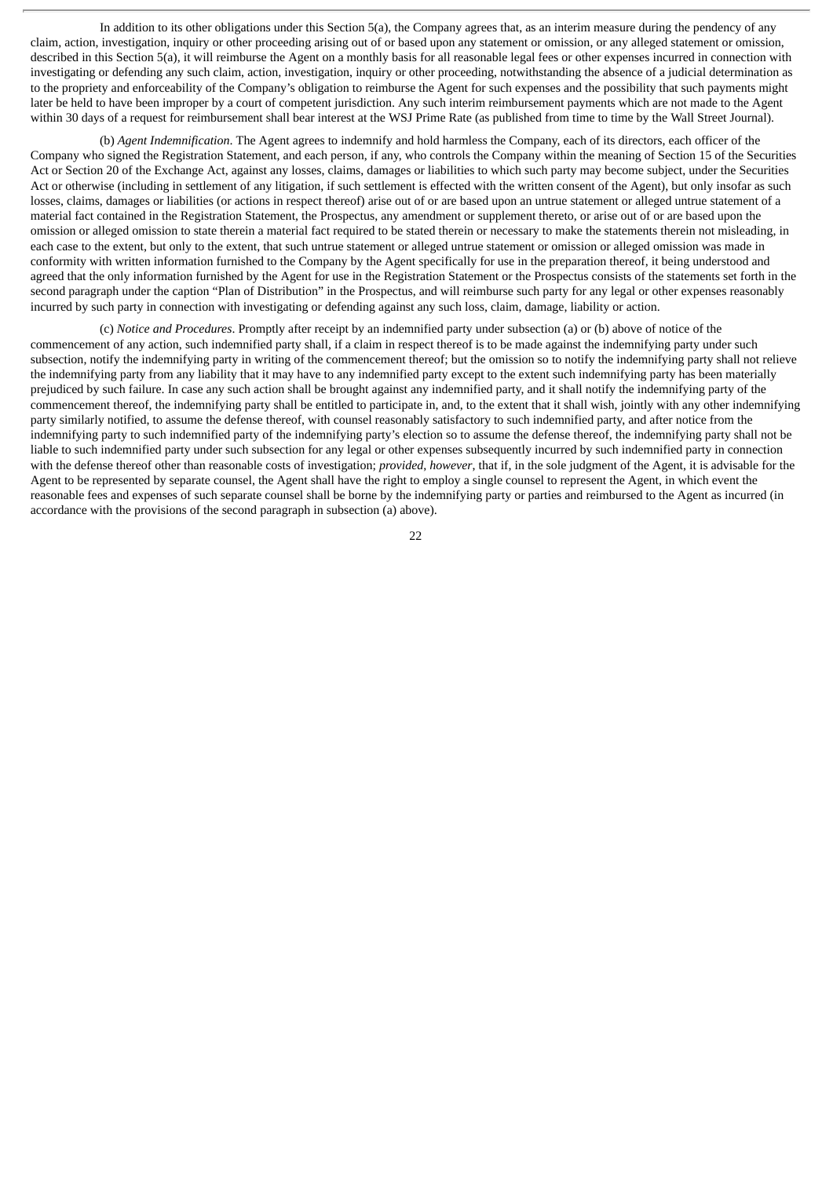In addition to its other obligations under this Section 5(a), the Company agrees that, as an interim measure during the pendency of any claim, action, investigation, inquiry or other proceeding arising out of or based upon any statement or omission, or any alleged statement or omission, described in this Section 5(a), it will reimburse the Agent on a monthly basis for all reasonable legal fees or other expenses incurred in connection with investigating or defending any such claim, action, investigation, inquiry or other proceeding, notwithstanding the absence of a judicial determination as to the propriety and enforceability of the Company's obligation to reimburse the Agent for such expenses and the possibility that such payments might later be held to have been improper by a court of competent jurisdiction. Any such interim reimbursement payments which are not made to the Agent within 30 days of a request for reimbursement shall bear interest at the WSJ Prime Rate (as published from time to time by the Wall Street Journal).

(b) *Agent Indemnification*. The Agent agrees to indemnify and hold harmless the Company, each of its directors, each officer of the Company who signed the Registration Statement, and each person, if any, who controls the Company within the meaning of Section 15 of the Securities Act or Section 20 of the Exchange Act, against any losses, claims, damages or liabilities to which such party may become subject, under the Securities Act or otherwise (including in settlement of any litigation, if such settlement is effected with the written consent of the Agent), but only insofar as such losses, claims, damages or liabilities (or actions in respect thereof) arise out of or are based upon an untrue statement or alleged untrue statement of a material fact contained in the Registration Statement, the Prospectus, any amendment or supplement thereto, or arise out of or are based upon the omission or alleged omission to state therein a material fact required to be stated therein or necessary to make the statements therein not misleading, in each case to the extent, but only to the extent, that such untrue statement or alleged untrue statement or omission or alleged omission was made in conformity with written information furnished to the Company by the Agent specifically for use in the preparation thereof, it being understood and agreed that the only information furnished by the Agent for use in the Registration Statement or the Prospectus consists of the statements set forth in the second paragraph under the caption "Plan of Distribution" in the Prospectus, and will reimburse such party for any legal or other expenses reasonably incurred by such party in connection with investigating or defending against any such loss, claim, damage, liability or action.

(c) *Notice and Procedures*. Promptly after receipt by an indemnified party under subsection (a) or (b) above of notice of the commencement of any action, such indemnified party shall, if a claim in respect thereof is to be made against the indemnifying party under such subsection, notify the indemnifying party in writing of the commencement thereof; but the omission so to notify the indemnifying party shall not relieve the indemnifying party from any liability that it may have to any indemnified party except to the extent such indemnifying party has been materially prejudiced by such failure. In case any such action shall be brought against any indemnified party, and it shall notify the indemnifying party of the commencement thereof, the indemnifying party shall be entitled to participate in, and, to the extent that it shall wish, jointly with any other indemnifying party similarly notified, to assume the defense thereof, with counsel reasonably satisfactory to such indemnified party, and after notice from the indemnifying party to such indemnified party of the indemnifying party's election so to assume the defense thereof, the indemnifying party shall not be liable to such indemnified party under such subsection for any legal or other expenses subsequently incurred by such indemnified party in connection with the defense thereof other than reasonable costs of investigation; *provided*, *however*, that if, in the sole judgment of the Agent, it is advisable for the Agent to be represented by separate counsel, the Agent shall have the right to employ a single counsel to represent the Agent, in which event the reasonable fees and expenses of such separate counsel shall be borne by the indemnifying party or parties and reimbursed to the Agent as incurred (in accordance with the provisions of the second paragraph in subsection (a) above).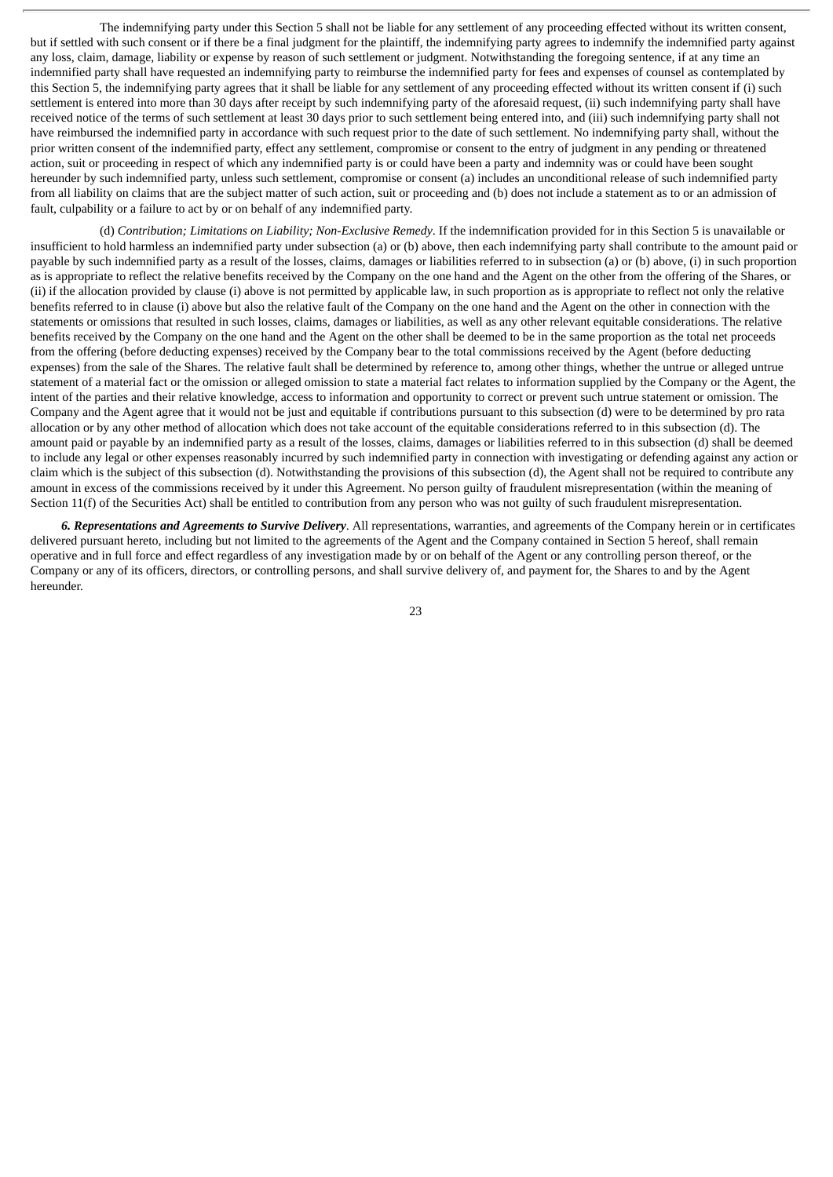The indemnifying party under this Section 5 shall not be liable for any settlement of any proceeding effected without its written consent, but if settled with such consent or if there be a final judgment for the plaintiff, the indemnifying party agrees to indemnify the indemnified party against any loss, claim, damage, liability or expense by reason of such settlement or judgment. Notwithstanding the foregoing sentence, if at any time an indemnified party shall have requested an indemnifying party to reimburse the indemnified party for fees and expenses of counsel as contemplated by this Section 5, the indemnifying party agrees that it shall be liable for any settlement of any proceeding effected without its written consent if (i) such settlement is entered into more than 30 days after receipt by such indemnifying party of the aforesaid request, (ii) such indemnifying party shall have received notice of the terms of such settlement at least 30 days prior to such settlement being entered into, and (iii) such indemnifying party shall not have reimbursed the indemnified party in accordance with such request prior to the date of such settlement. No indemnifying party shall, without the prior written consent of the indemnified party, effect any settlement, compromise or consent to the entry of judgment in any pending or threatened action, suit or proceeding in respect of which any indemnified party is or could have been a party and indemnity was or could have been sought hereunder by such indemnified party, unless such settlement, compromise or consent (a) includes an unconditional release of such indemnified party from all liability on claims that are the subject matter of such action, suit or proceeding and (b) does not include a statement as to or an admission of fault, culpability or a failure to act by or on behalf of any indemnified party.

(d) *Contribution; Limitations on Liability; Non-Exclusive Remedy*. If the indemnification provided for in this Section 5 is unavailable or insufficient to hold harmless an indemnified party under subsection (a) or (b) above, then each indemnifying party shall contribute to the amount paid or payable by such indemnified party as a result of the losses, claims, damages or liabilities referred to in subsection (a) or (b) above, (i) in such proportion as is appropriate to reflect the relative benefits received by the Company on the one hand and the Agent on the other from the offering of the Shares, or (ii) if the allocation provided by clause (i) above is not permitted by applicable law, in such proportion as is appropriate to reflect not only the relative benefits referred to in clause (i) above but also the relative fault of the Company on the one hand and the Agent on the other in connection with the statements or omissions that resulted in such losses, claims, damages or liabilities, as well as any other relevant equitable considerations. The relative benefits received by the Company on the one hand and the Agent on the other shall be deemed to be in the same proportion as the total net proceeds from the offering (before deducting expenses) received by the Company bear to the total commissions received by the Agent (before deducting expenses) from the sale of the Shares. The relative fault shall be determined by reference to, among other things, whether the untrue or alleged untrue statement of a material fact or the omission or alleged omission to state a material fact relates to information supplied by the Company or the Agent, the intent of the parties and their relative knowledge, access to information and opportunity to correct or prevent such untrue statement or omission. The Company and the Agent agree that it would not be just and equitable if contributions pursuant to this subsection (d) were to be determined by pro rata allocation or by any other method of allocation which does not take account of the equitable considerations referred to in this subsection (d). The amount paid or payable by an indemnified party as a result of the losses, claims, damages or liabilities referred to in this subsection (d) shall be deemed to include any legal or other expenses reasonably incurred by such indemnified party in connection with investigating or defending against any action or claim which is the subject of this subsection (d). Notwithstanding the provisions of this subsection (d), the Agent shall not be required to contribute any amount in excess of the commissions received by it under this Agreement. No person guilty of fraudulent misrepresentation (within the meaning of Section 11(f) of the Securities Act) shall be entitled to contribution from any person who was not guilty of such fraudulent misrepresentation.

*6. Representations and Agreements to Survive Delivery*. All representations, warranties, and agreements of the Company herein or in certificates delivered pursuant hereto, including but not limited to the agreements of the Agent and the Company contained in Section 5 hereof, shall remain operative and in full force and effect regardless of any investigation made by or on behalf of the Agent or any controlling person thereof, or the Company or any of its officers, directors, or controlling persons, and shall survive delivery of, and payment for, the Shares to and by the Agent hereunder.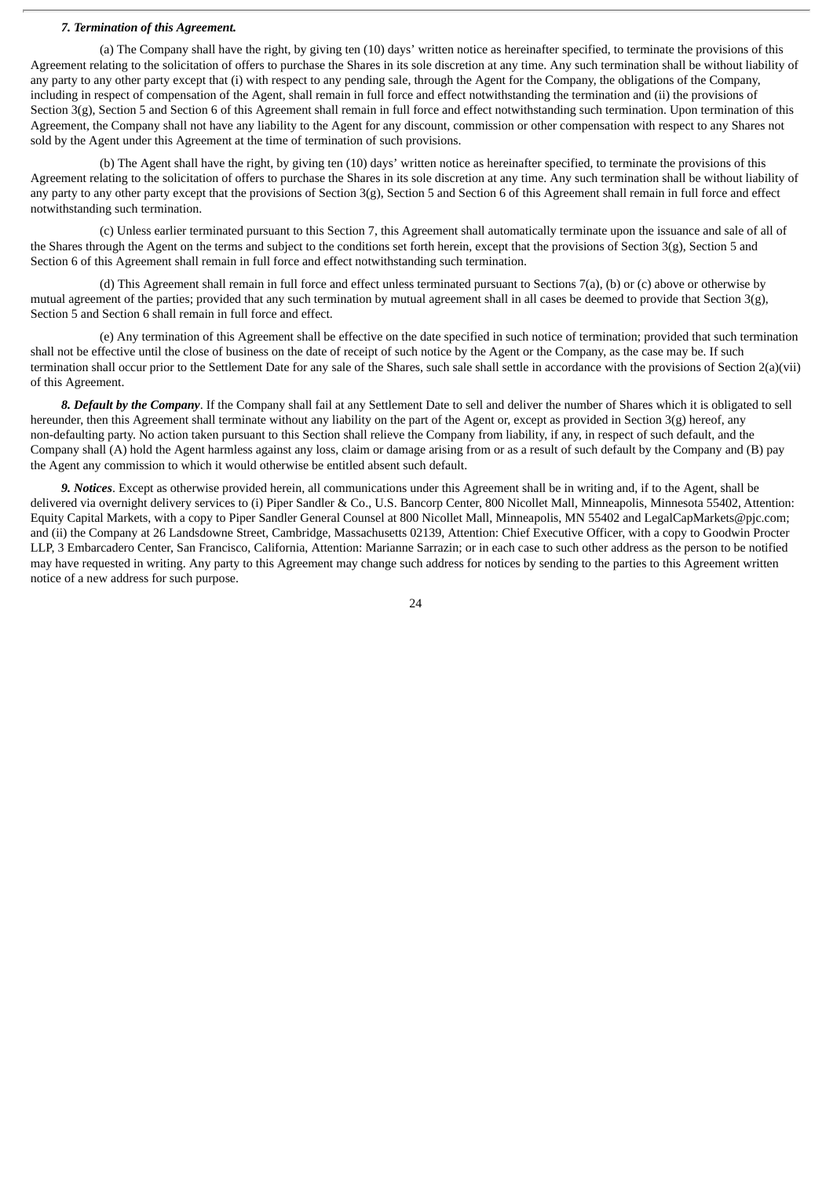#### *7. Termination of this Agreement.*

(a) The Company shall have the right, by giving ten (10) days' written notice as hereinafter specified, to terminate the provisions of this Agreement relating to the solicitation of offers to purchase the Shares in its sole discretion at any time. Any such termination shall be without liability of any party to any other party except that (i) with respect to any pending sale, through the Agent for the Company, the obligations of the Company, including in respect of compensation of the Agent, shall remain in full force and effect notwithstanding the termination and (ii) the provisions of Section 3(g), Section 5 and Section 6 of this Agreement shall remain in full force and effect notwithstanding such termination. Upon termination of this Agreement, the Company shall not have any liability to the Agent for any discount, commission or other compensation with respect to any Shares not sold by the Agent under this Agreement at the time of termination of such provisions.

(b) The Agent shall have the right, by giving ten (10) days' written notice as hereinafter specified, to terminate the provisions of this Agreement relating to the solicitation of offers to purchase the Shares in its sole discretion at any time. Any such termination shall be without liability of any party to any other party except that the provisions of Section  $3(g)$ , Section 5 and Section 6 of this Agreement shall remain in full force and effect notwithstanding such termination.

(c) Unless earlier terminated pursuant to this Section 7, this Agreement shall automatically terminate upon the issuance and sale of all of the Shares through the Agent on the terms and subject to the conditions set forth herein, except that the provisions of Section 3(g), Section 5 and Section 6 of this Agreement shall remain in full force and effect notwithstanding such termination.

(d) This Agreement shall remain in full force and effect unless terminated pursuant to Sections 7(a), (b) or (c) above or otherwise by mutual agreement of the parties; provided that any such termination by mutual agreement shall in all cases be deemed to provide that Section 3(g), Section 5 and Section 6 shall remain in full force and effect.

(e) Any termination of this Agreement shall be effective on the date specified in such notice of termination; provided that such termination shall not be effective until the close of business on the date of receipt of such notice by the Agent or the Company, as the case may be. If such termination shall occur prior to the Settlement Date for any sale of the Shares, such sale shall settle in accordance with the provisions of Section 2(a)(vii) of this Agreement.

*8. Default by the Company*. If the Company shall fail at any Settlement Date to sell and deliver the number of Shares which it is obligated to sell hereunder, then this Agreement shall terminate without any liability on the part of the Agent or, except as provided in Section 3(g) hereof, any non-defaulting party. No action taken pursuant to this Section shall relieve the Company from liability, if any, in respect of such default, and the Company shall (A) hold the Agent harmless against any loss, claim or damage arising from or as a result of such default by the Company and (B) pay the Agent any commission to which it would otherwise be entitled absent such default.

*9. Notices*. Except as otherwise provided herein, all communications under this Agreement shall be in writing and, if to the Agent, shall be delivered via overnight delivery services to (i) Piper Sandler & Co., U.S. Bancorp Center, 800 Nicollet Mall, Minneapolis, Minnesota 55402, Attention: Equity Capital Markets, with a copy to Piper Sandler General Counsel at 800 Nicollet Mall, Minneapolis, MN 55402 and LegalCapMarkets@pjc.com; and (ii) the Company at 26 Landsdowne Street, Cambridge, Massachusetts 02139, Attention: Chief Executive Officer, with a copy to Goodwin Procter LLP, 3 Embarcadero Center, San Francisco, California, Attention: Marianne Sarrazin; or in each case to such other address as the person to be notified may have requested in writing. Any party to this Agreement may change such address for notices by sending to the parties to this Agreement written notice of a new address for such purpose.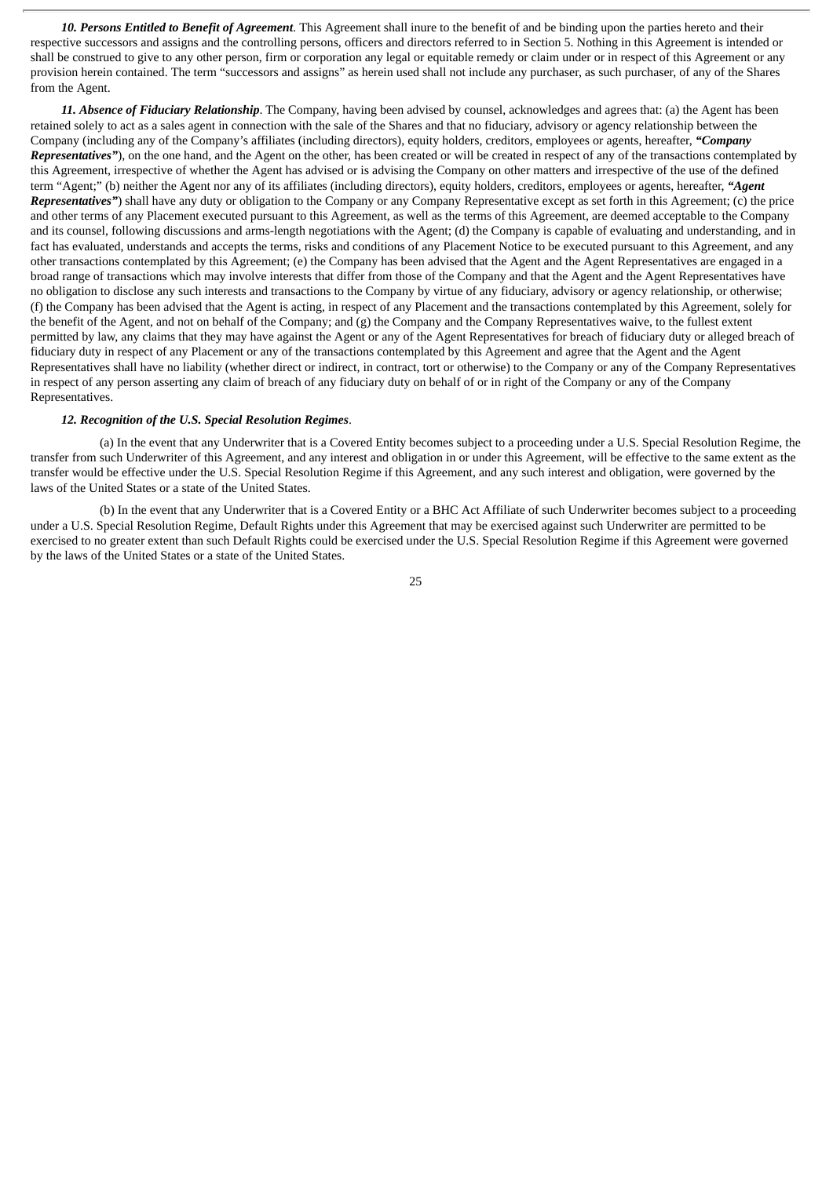*10. Persons Entitled to Benefit of Agreement*. This Agreement shall inure to the benefit of and be binding upon the parties hereto and their respective successors and assigns and the controlling persons, officers and directors referred to in Section 5. Nothing in this Agreement is intended or shall be construed to give to any other person, firm or corporation any legal or equitable remedy or claim under or in respect of this Agreement or any provision herein contained. The term "successors and assigns" as herein used shall not include any purchaser, as such purchaser, of any of the Shares from the Agent.

*11. Absence of Fiduciary Relationship*. The Company, having been advised by counsel, acknowledges and agrees that: (a) the Agent has been retained solely to act as a sales agent in connection with the sale of the Shares and that no fiduciary, advisory or agency relationship between the Company (including any of the Company's affiliates (including directors), equity holders, creditors, employees or agents, hereafter, *"Company Representatives"*), on the one hand, and the Agent on the other, has been created or will be created in respect of any of the transactions contemplated by this Agreement, irrespective of whether the Agent has advised or is advising the Company on other matters and irrespective of the use of the defined term "Agent;" (b) neither the Agent nor any of its affiliates (including directors), equity holders, creditors, employees or agents, hereafter, *"Agent Representatives"*) shall have any duty or obligation to the Company or any Company Representative except as set forth in this Agreement; (c) the price and other terms of any Placement executed pursuant to this Agreement, as well as the terms of this Agreement, are deemed acceptable to the Company and its counsel, following discussions and arms-length negotiations with the Agent; (d) the Company is capable of evaluating and understanding, and in fact has evaluated, understands and accepts the terms, risks and conditions of any Placement Notice to be executed pursuant to this Agreement, and any other transactions contemplated by this Agreement; (e) the Company has been advised that the Agent and the Agent Representatives are engaged in a broad range of transactions which may involve interests that differ from those of the Company and that the Agent and the Agent Representatives have no obligation to disclose any such interests and transactions to the Company by virtue of any fiduciary, advisory or agency relationship, or otherwise; (f) the Company has been advised that the Agent is acting, in respect of any Placement and the transactions contemplated by this Agreement, solely for the benefit of the Agent, and not on behalf of the Company; and (g) the Company and the Company Representatives waive, to the fullest extent permitted by law, any claims that they may have against the Agent or any of the Agent Representatives for breach of fiduciary duty or alleged breach of fiduciary duty in respect of any Placement or any of the transactions contemplated by this Agreement and agree that the Agent and the Agent Representatives shall have no liability (whether direct or indirect, in contract, tort or otherwise) to the Company or any of the Company Representatives in respect of any person asserting any claim of breach of any fiduciary duty on behalf of or in right of the Company or any of the Company Representatives.

#### *12. Recognition of the U.S. Special Resolution Regimes*.

(a) In the event that any Underwriter that is a Covered Entity becomes subject to a proceeding under a U.S. Special Resolution Regime, the transfer from such Underwriter of this Agreement, and any interest and obligation in or under this Agreement, will be effective to the same extent as the transfer would be effective under the U.S. Special Resolution Regime if this Agreement, and any such interest and obligation, were governed by the laws of the United States or a state of the United States.

(b) In the event that any Underwriter that is a Covered Entity or a BHC Act Affiliate of such Underwriter becomes subject to a proceeding under a U.S. Special Resolution Regime, Default Rights under this Agreement that may be exercised against such Underwriter are permitted to be exercised to no greater extent than such Default Rights could be exercised under the U.S. Special Resolution Regime if this Agreement were governed by the laws of the United States or a state of the United States.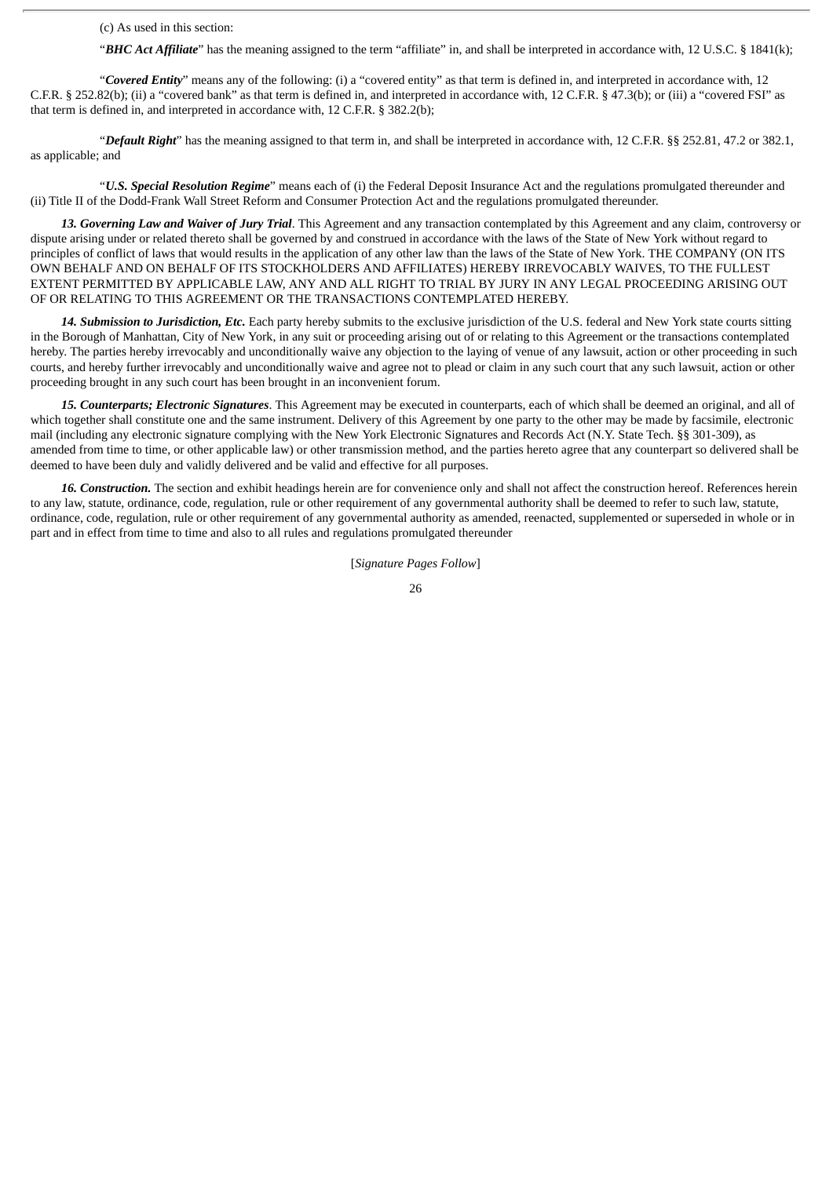(c) As used in this section:

"*BHC Act Affiliate*" has the meaning assigned to the term "affiliate" in, and shall be interpreted in accordance with, 12 U.S.C. § 1841(k);

"*Covered Entity*" means any of the following: (i) a "covered entity" as that term is defined in, and interpreted in accordance with, 12 C.F.R. § 252.82(b); (ii) a "covered bank" as that term is defined in, and interpreted in accordance with, 12 C.F.R. § 47.3(b); or (iii) a "covered FSI" as that term is defined in, and interpreted in accordance with, 12 C.F.R. § 382.2(b);

"*Default Right*" has the meaning assigned to that term in, and shall be interpreted in accordance with, 12 C.F.R. §§ 252.81, 47.2 or 382.1, as applicable; and

"*U.S. Special Resolution Regime*" means each of (i) the Federal Deposit Insurance Act and the regulations promulgated thereunder and (ii) Title II of the Dodd-Frank Wall Street Reform and Consumer Protection Act and the regulations promulgated thereunder.

*13. Governing Law and Waiver of Jury Trial*. This Agreement and any transaction contemplated by this Agreement and any claim, controversy or dispute arising under or related thereto shall be governed by and construed in accordance with the laws of the State of New York without regard to principles of conflict of laws that would results in the application of any other law than the laws of the State of New York. THE COMPANY (ON ITS OWN BEHALF AND ON BEHALF OF ITS STOCKHOLDERS AND AFFILIATES) HEREBY IRREVOCABLY WAIVES, TO THE FULLEST EXTENT PERMITTED BY APPLICABLE LAW, ANY AND ALL RIGHT TO TRIAL BY JURY IN ANY LEGAL PROCEEDING ARISING OUT OF OR RELATING TO THIS AGREEMENT OR THE TRANSACTIONS CONTEMPLATED HEREBY.

*14. Submission to Jurisdiction, Etc.* Each party hereby submits to the exclusive jurisdiction of the U.S. federal and New York state courts sitting in the Borough of Manhattan, City of New York, in any suit or proceeding arising out of or relating to this Agreement or the transactions contemplated hereby. The parties hereby irrevocably and unconditionally waive any objection to the laying of venue of any lawsuit, action or other proceeding in such courts, and hereby further irrevocably and unconditionally waive and agree not to plead or claim in any such court that any such lawsuit, action or other proceeding brought in any such court has been brought in an inconvenient forum.

*15. Counterparts; Electronic Signatures*. This Agreement may be executed in counterparts, each of which shall be deemed an original, and all of which together shall constitute one and the same instrument. Delivery of this Agreement by one party to the other may be made by facsimile, electronic mail (including any electronic signature complying with the New York Electronic Signatures and Records Act (N.Y. State Tech. §§ 301-309), as amended from time to time, or other applicable law) or other transmission method, and the parties hereto agree that any counterpart so delivered shall be deemed to have been duly and validly delivered and be valid and effective for all purposes.

*16. Construction.* The section and exhibit headings herein are for convenience only and shall not affect the construction hereof. References herein to any law, statute, ordinance, code, regulation, rule or other requirement of any governmental authority shall be deemed to refer to such law, statute, ordinance, code, regulation, rule or other requirement of any governmental authority as amended, reenacted, supplemented or superseded in whole or in part and in effect from time to time and also to all rules and regulations promulgated thereunder

[*Signature Pages Follow*]

<sup>26</sup>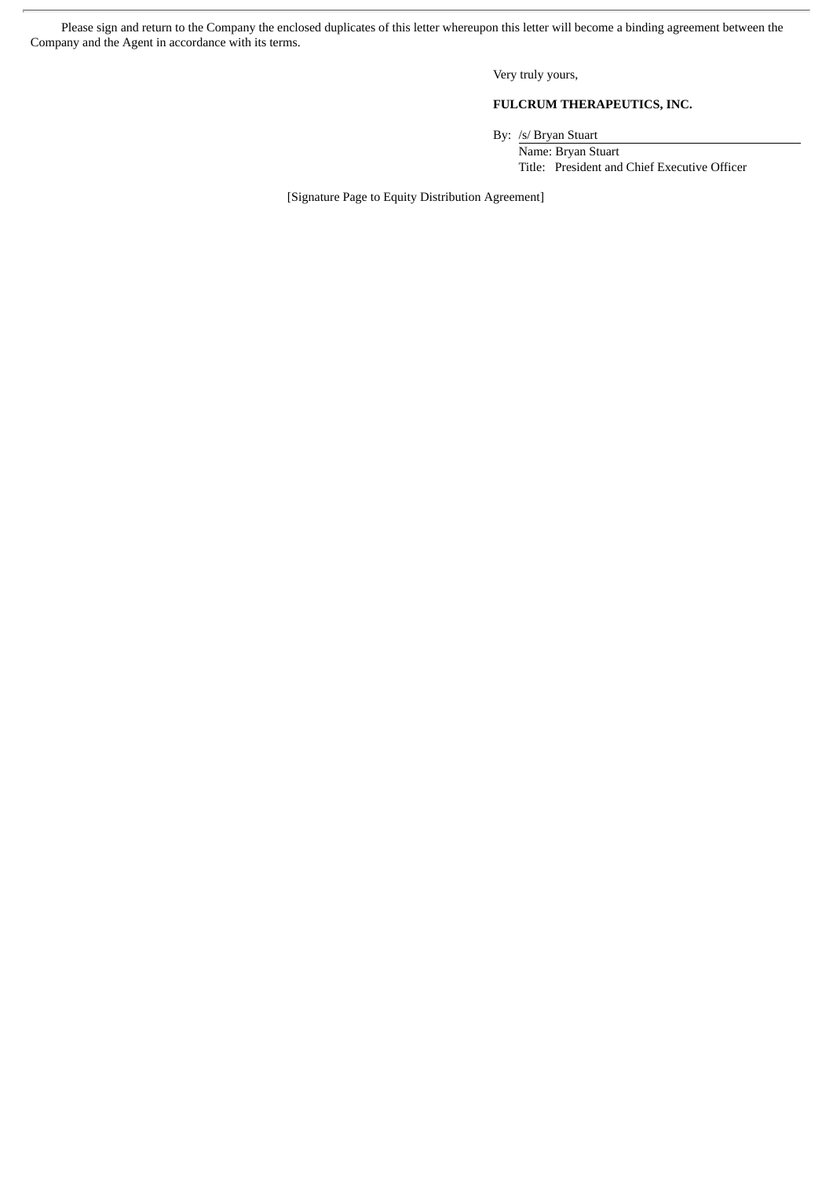Please sign and return to the Company the enclosed duplicates of this letter whereupon this letter will become a binding agreement between the Company and the Agent in accordance with its terms.

Very truly yours,

## **FULCRUM THERAPEUTICS, INC.**

By: /s/ Bryan Stuart

Name: Bryan Stuart Title: President and Chief Executive Officer

[Signature Page to Equity Distribution Agreement]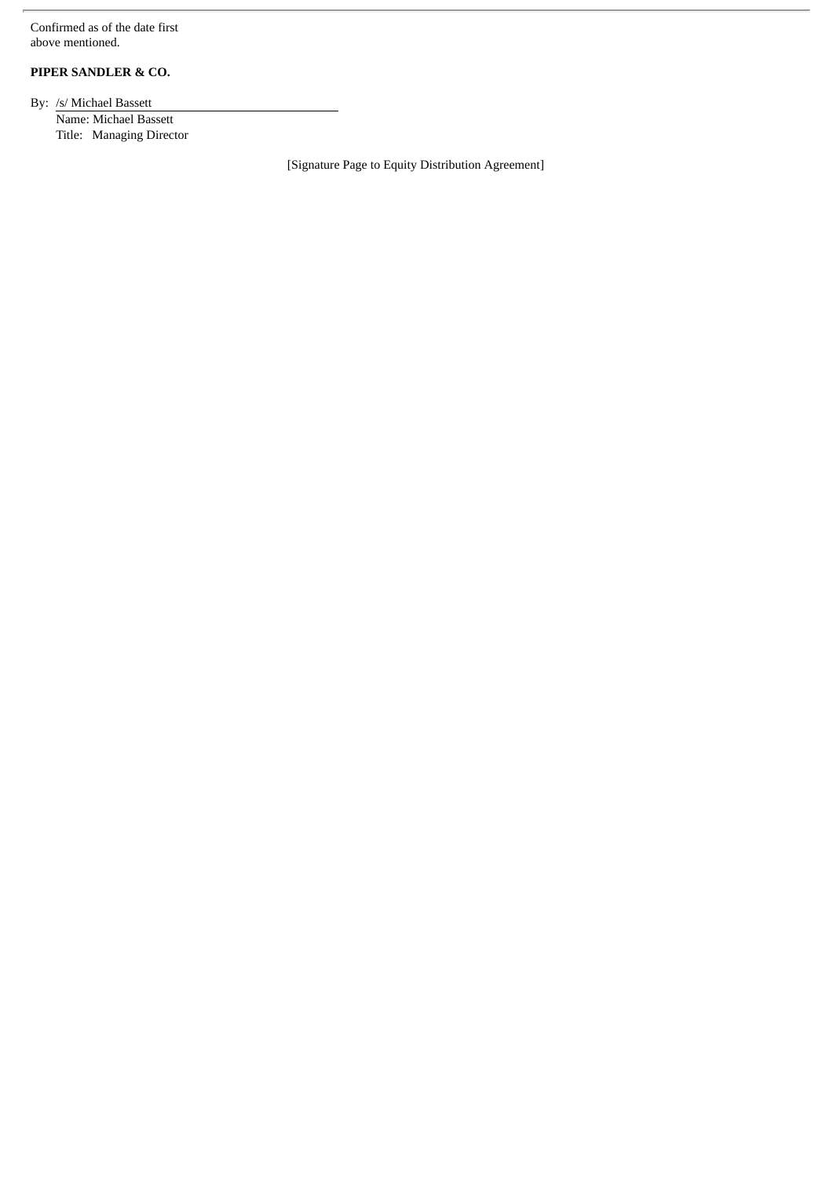Confirmed as of the date first above mentioned.

# **PIPER SANDLER & CO.**

By: /s/ Michael Bassett Name: Michael Bassett Title: Managing Director

[Signature Page to Equity Distribution Agreement]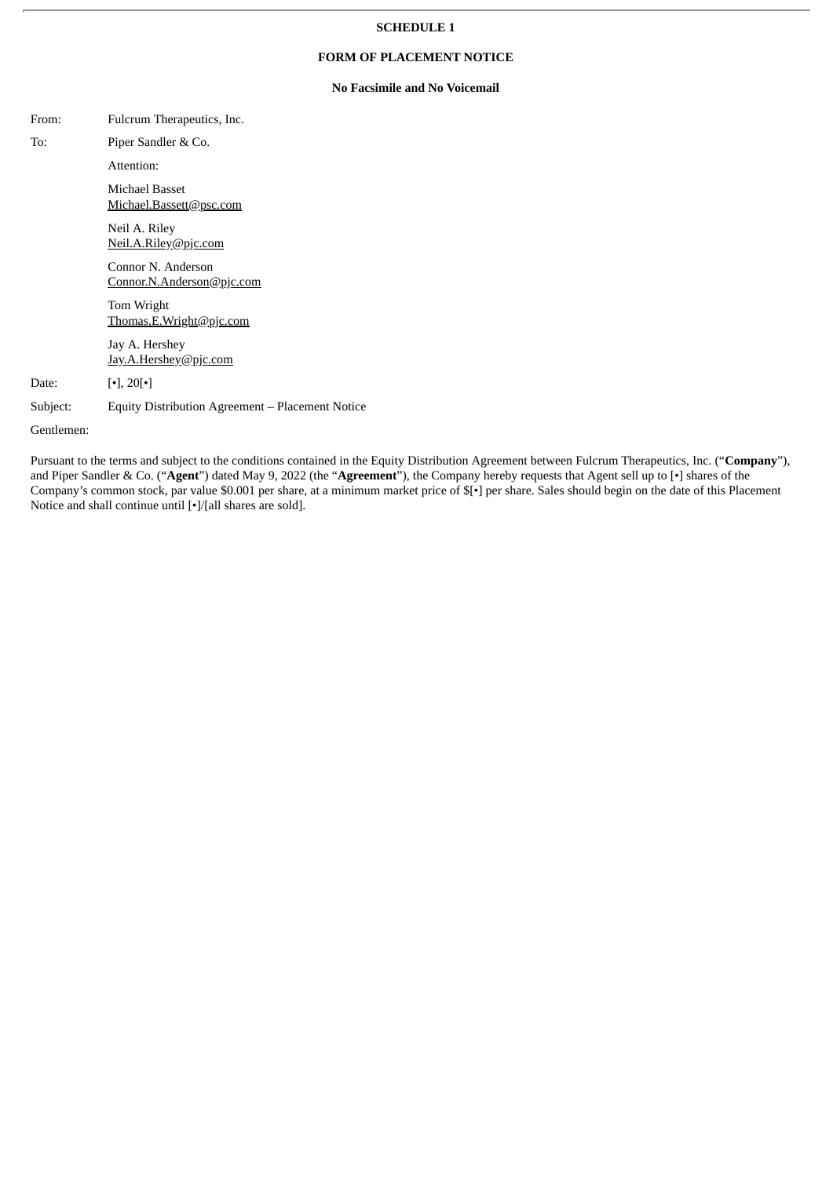#### **SCHEDULE 1**

### **FORM OF PLACEMENT NOTICE**

#### **No Facsimile and No Voicemail**

| From:      | Fulcrum Therapeutics, Inc.                       |
|------------|--------------------------------------------------|
| To:        | Piper Sandler & Co.                              |
|            | Attention:                                       |
|            | Michael Basset<br>Michael.Bassett@psc.com        |
|            | Neil A. Riley<br>Neil.A.Riley@pjc.com            |
|            | Connor N. Anderson<br>Connor.N.Anderson@pjc.com  |
|            | Tom Wright<br>Thomas.E.Wright@pjc.com            |
|            | Jay A. Hershey<br>Jay.A.Hershey@pjc.com          |
| Date:      | $\lceil \cdot \rceil$ , 20 $\lceil \cdot \rceil$ |
| Subject:   | Equity Distribution Agreement – Placement Notice |
| Gentlemen: |                                                  |

Pursuant to the terms and subject to the conditions contained in the Equity Distribution Agreement between Fulcrum Therapeutics, Inc. ("**Company**"), and Piper Sandler & Co. ("**Agent**") dated May 9, 2022 (the "**Agreement**"), the Company hereby requests that Agent sell up to [•] shares of the Company's common stock, par value \$0.001 per share, at a minimum market price of \$[•] per share. Sales should begin on the date of this Placement Notice and shall continue until [•]/[all shares are sold].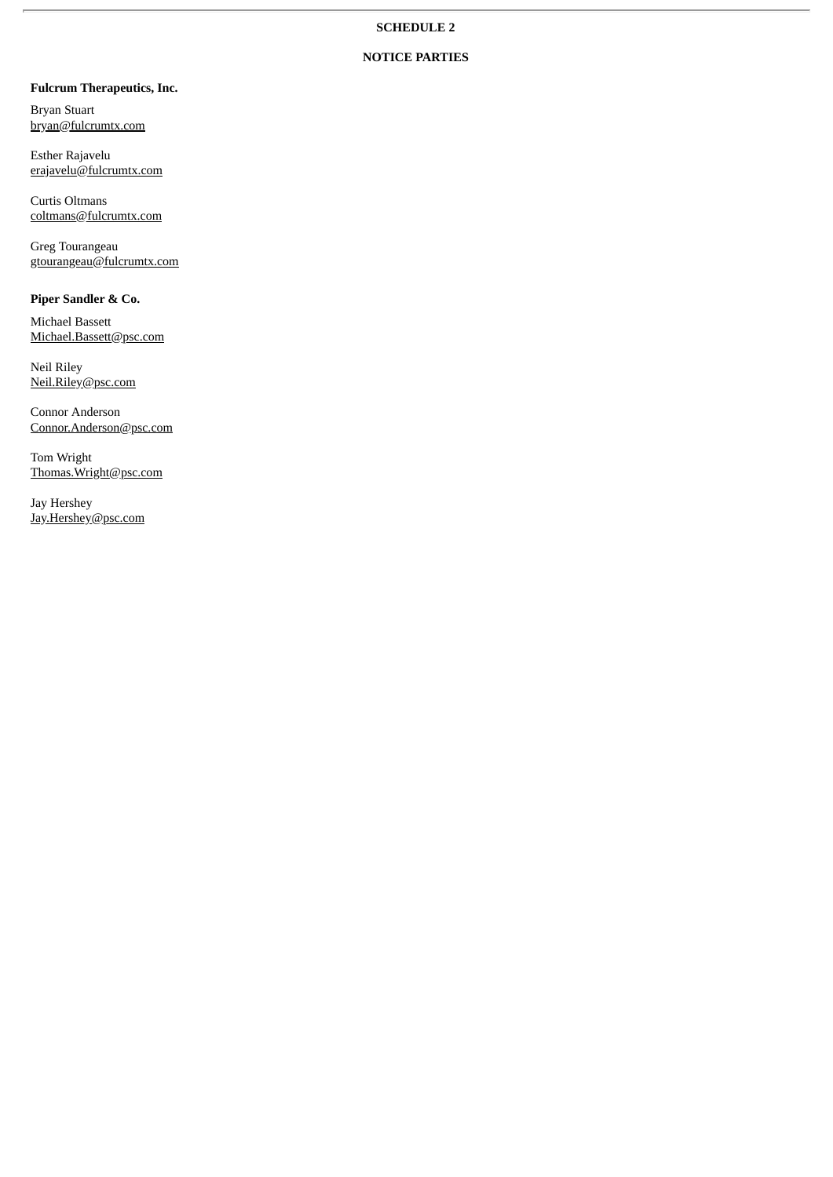# **NOTICE PARTIES**

# **Fulcrum Therapeutics, Inc.**

Bryan Stuart bryan@fulcrumtx.com

Esther Rajavelu erajavelu@fulcrumtx.com

Curtis Oltmans coltmans@fulcrumtx.com

Greg Tourangeau gtourangeau@fulcrumtx.com

## **Piper Sandler & Co.**

Michael Bassett Michael.Bassett@psc.com

Neil Riley Neil.Riley@psc.com

Connor Anderson Connor.Anderson@psc.com

Tom Wright Thomas.Wright@psc.com

Jay Hershey Jay.Hershey@psc.com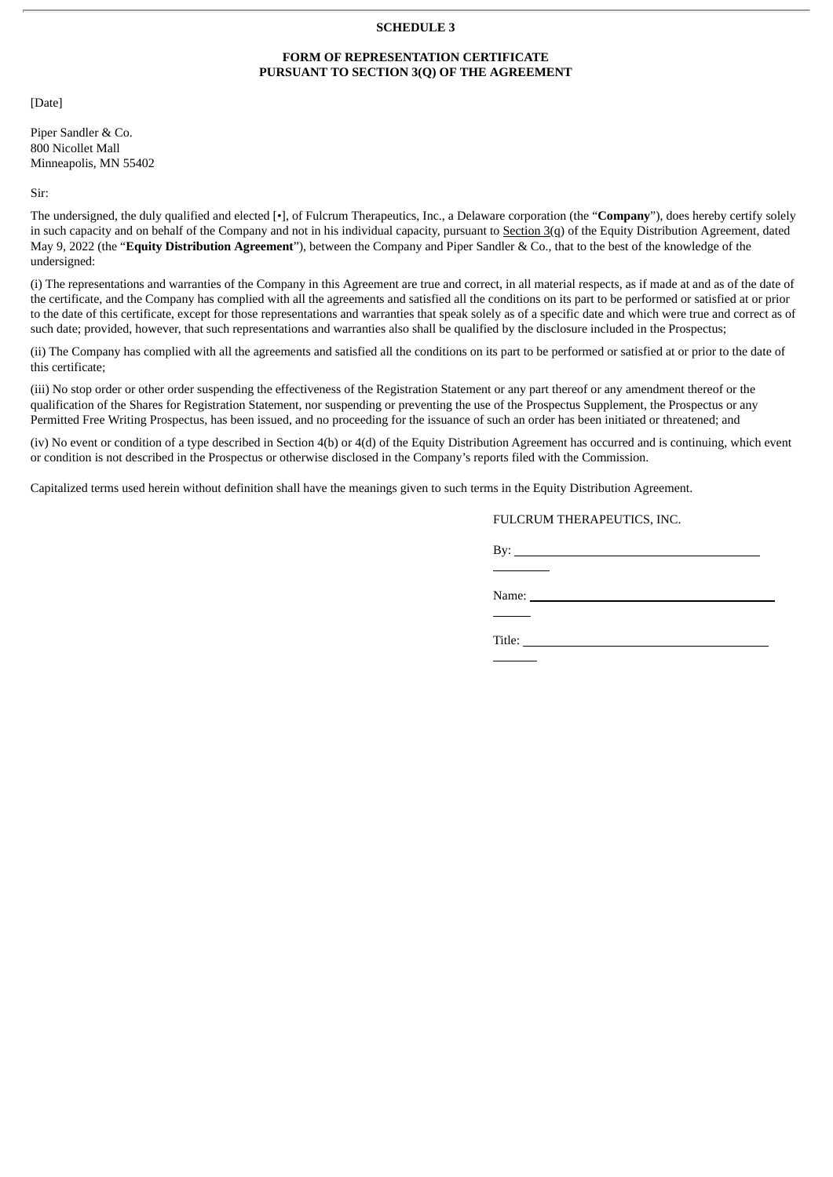#### **SCHEDULE 3**

#### **FORM OF REPRESENTATION CERTIFICATE PURSUANT TO SECTION 3(Q) OF THE AGREEMENT**

[Date]

Piper Sandler & Co. 800 Nicollet Mall Minneapolis, MN 55402

Sir:

The undersigned, the duly qualified and elected [•], of Fulcrum Therapeutics, Inc., a Delaware corporation (the "**Company**"), does hereby certify solely in such capacity and on behalf of the Company and not in his individual capacity, pursuant to Section 3(q) of the Equity Distribution Agreement, dated May 9, 2022 (the "**Equity Distribution Agreement**"), between the Company and Piper Sandler & Co., that to the best of the knowledge of the undersigned:

(i) The representations and warranties of the Company in this Agreement are true and correct, in all material respects, as if made at and as of the date of the certificate, and the Company has complied with all the agreements and satisfied all the conditions on its part to be performed or satisfied at or prior to the date of this certificate, except for those representations and warranties that speak solely as of a specific date and which were true and correct as of such date; provided, however, that such representations and warranties also shall be qualified by the disclosure included in the Prospectus;

(ii) The Company has complied with all the agreements and satisfied all the conditions on its part to be performed or satisfied at or prior to the date of this certificate;

(iii) No stop order or other order suspending the effectiveness of the Registration Statement or any part thereof or any amendment thereof or the qualification of the Shares for Registration Statement, nor suspending or preventing the use of the Prospectus Supplement, the Prospectus or any Permitted Free Writing Prospectus, has been issued, and no proceeding for the issuance of such an order has been initiated or threatened; and

(iv) No event or condition of a type described in Section 4(b) or 4(d) of the Equity Distribution Agreement has occurred and is continuing, which event or condition is not described in the Prospectus or otherwise disclosed in the Company's reports filed with the Commission.

Capitalized terms used herein without definition shall have the meanings given to such terms in the Equity Distribution Agreement.

# FULCRUM THERAPEUTICS, INC.

By:  $\_\_$ 

Name:

Title: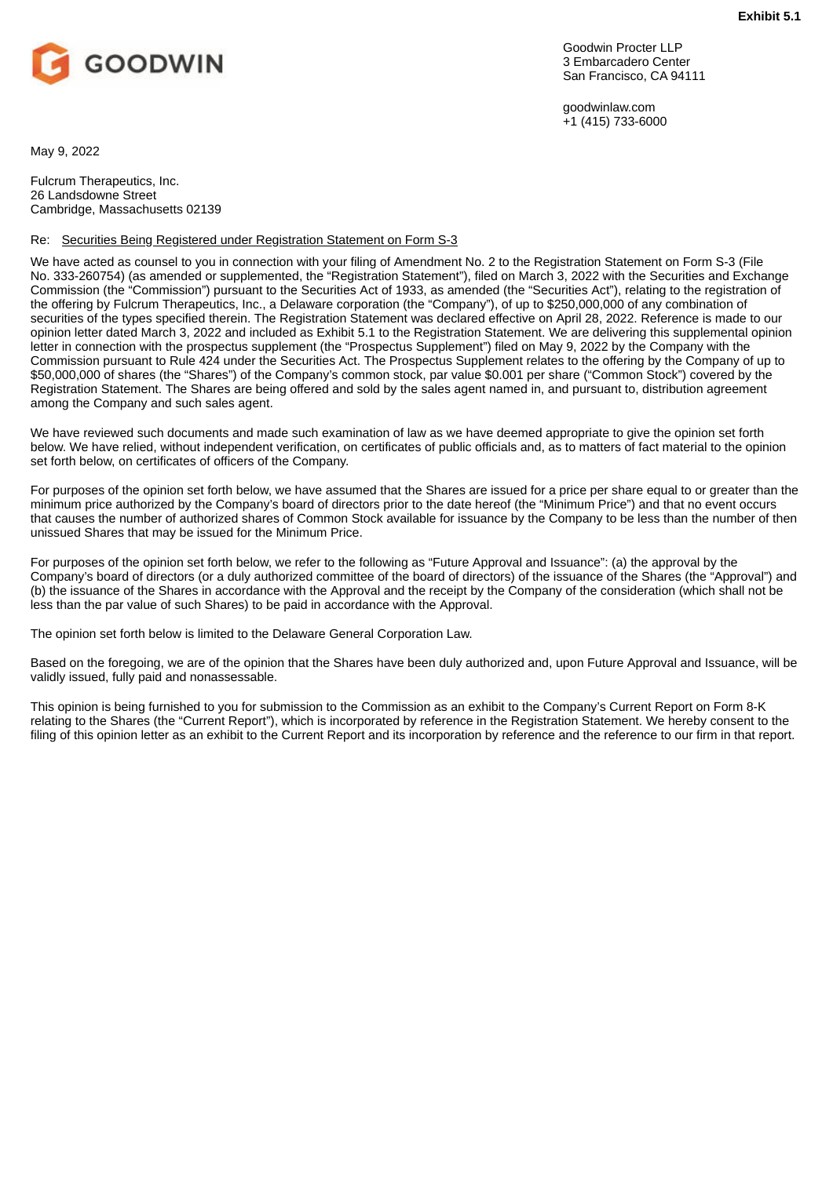<span id="page-34-0"></span>

Goodwin Procter LLP 3 Embarcadero Center San Francisco, CA 94111

goodwinlaw.com +1 (415) 733-6000

May 9, 2022

Fulcrum Therapeutics, Inc. 26 Landsdowne Street Cambridge, Massachusetts 02139

#### Re: Securities Being Registered under Registration Statement on Form S-3

We have acted as counsel to you in connection with your filing of Amendment No. 2 to the Registration Statement on Form S-3 (File No. 333-260754) (as amended or supplemented, the "Registration Statement"), filed on March 3, 2022 with the Securities and Exchange Commission (the "Commission") pursuant to the Securities Act of 1933, as amended (the "Securities Act"), relating to the registration of the offering by Fulcrum Therapeutics, Inc., a Delaware corporation (the "Company"), of up to \$250,000,000 of any combination of securities of the types specified therein. The Registration Statement was declared effective on April 28, 2022. Reference is made to our opinion letter dated March 3, 2022 and included as Exhibit 5.1 to the Registration Statement. We are delivering this supplemental opinion letter in connection with the prospectus supplement (the "Prospectus Supplement") filed on May 9, 2022 by the Company with the Commission pursuant to Rule 424 under the Securities Act. The Prospectus Supplement relates to the offering by the Company of up to \$50,000,000 of shares (the "Shares") of the Company's common stock, par value \$0.001 per share ("Common Stock") covered by the Registration Statement. The Shares are being offered and sold by the sales agent named in, and pursuant to, distribution agreement among the Company and such sales agent.

We have reviewed such documents and made such examination of law as we have deemed appropriate to give the opinion set forth below. We have relied, without independent verification, on certificates of public officials and, as to matters of fact material to the opinion set forth below, on certificates of officers of the Company.

For purposes of the opinion set forth below, we have assumed that the Shares are issued for a price per share equal to or greater than the minimum price authorized by the Company's board of directors prior to the date hereof (the "Minimum Price") and that no event occurs that causes the number of authorized shares of Common Stock available for issuance by the Company to be less than the number of then unissued Shares that may be issued for the Minimum Price.

For purposes of the opinion set forth below, we refer to the following as "Future Approval and Issuance": (a) the approval by the Company's board of directors (or a duly authorized committee of the board of directors) of the issuance of the Shares (the "Approval") and (b) the issuance of the Shares in accordance with the Approval and the receipt by the Company of the consideration (which shall not be less than the par value of such Shares) to be paid in accordance with the Approval.

The opinion set forth below is limited to the Delaware General Corporation Law.

Based on the foregoing, we are of the opinion that the Shares have been duly authorized and, upon Future Approval and Issuance, will be validly issued, fully paid and nonassessable.

This opinion is being furnished to you for submission to the Commission as an exhibit to the Company's Current Report on Form 8-K relating to the Shares (the "Current Report"), which is incorporated by reference in the Registration Statement. We hereby consent to the filing of this opinion letter as an exhibit to the Current Report and its incorporation by reference and the reference to our firm in that report.